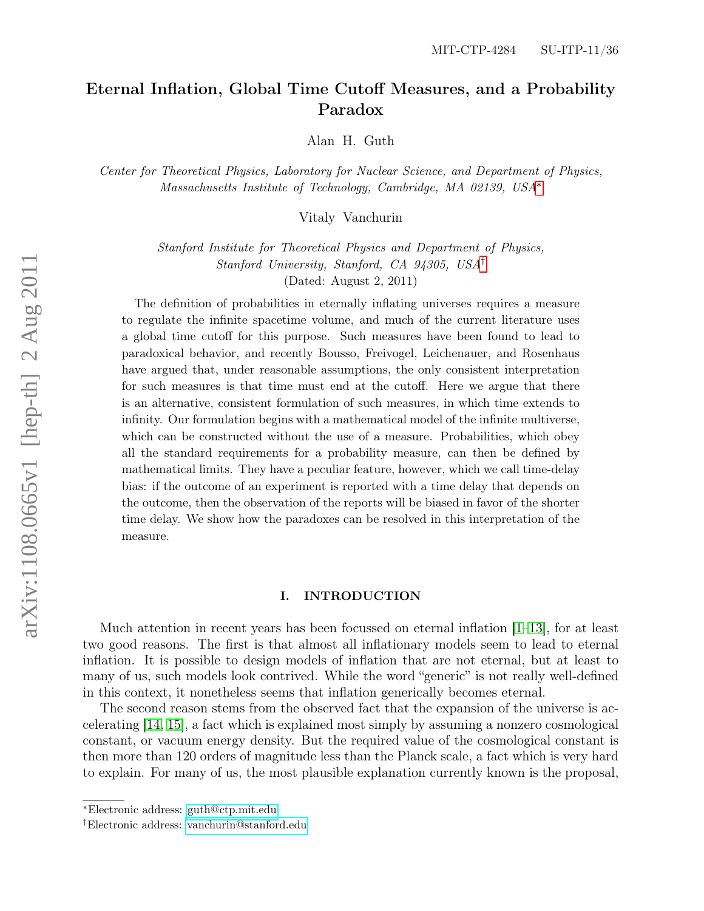# Eternal Inflation, Global Time Cutoff Measures, and a Probability Paradox

Alan H. Guth

Center for Theoretical Physics, Laboratory for Nuclear Science, and Department of Physics, Massachusetts Institute of Technology, Cambridge, MA 02139, USA[∗](#page-0-0)

Vitaly Vanchurin

Stanford Institute for Theoretical Physics and Department of Physics, Stanford University, Stanford, CA 94305, USA[†](#page-0-1) (Dated: August 2, 2011)

The definition of probabilities in eternally inflating universes requires a measure to regulate the infinite spacetime volume, and much of the current literature uses a global time cutoff for this purpose. Such measures have been found to lead to paradoxical behavior, and recently Bousso, Freivogel, Leichenauer, and Rosenhaus have argued that, under reasonable assumptions, the only consistent interpretation for such measures is that time must end at the cutoff. Here we argue that there is an alternative, consistent formulation of such measures, in which time extends to infinity. Our formulation begins with a mathematical model of the infinite multiverse, which can be constructed without the use of a measure. Probabilities, which obey all the standard requirements for a probability measure, can then be defined by mathematical limits. They have a peculiar feature, however, which we call time-delay bias: if the outcome of an experiment is reported with a time delay that depends on the outcome, then the observation of the reports will be biased in favor of the shorter time delay. We show how the paradoxes can be resolved in this interpretation of the measure.

# I. INTRODUCTION

Much attention in recent years has been focussed on eternal inflation [\[1–](#page-30-0)[13\]](#page-30-1), for at least two good reasons. The first is that almost all inflationary models seem to lead to eternal inflation. It is possible to design models of inflation that are not eternal, but at least to many of us, such models look contrived. While the word "generic" is not really well-defined in this context, it nonetheless seems that inflation generically becomes eternal.

The second reason stems from the observed fact that the expansion of the universe is accelerating [\[14,](#page-30-2) [15\]](#page-30-3), a fact which is explained most simply by assuming a nonzero cosmological constant, or vacuum energy density. But the required value of the cosmological constant is then more than 120 orders of magnitude less than the Planck scale, a fact which is very hard to explain. For many of us, the most plausible explanation currently known is the proposal,

<span id="page-0-0"></span><sup>∗</sup>Electronic address: [guth@ctp.mit.edu](mailto:guth@ctp.mit.edu)

<span id="page-0-1"></span><sup>†</sup>Electronic address: [vanchurin@stanford.edu](mailto:vanchurin@stanford.edu)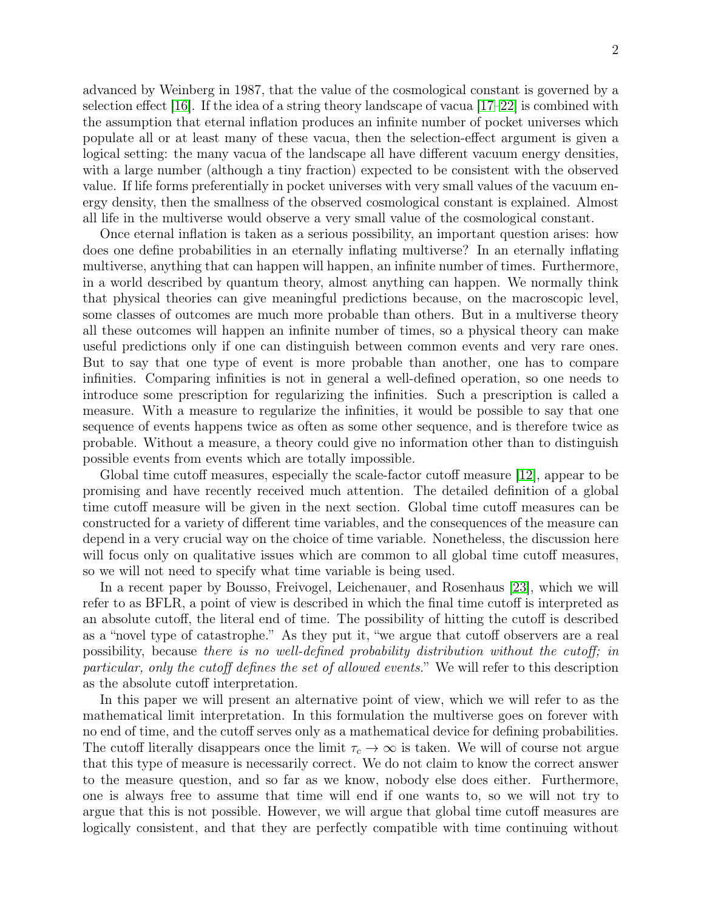advanced by Weinberg in 1987, that the value of the cosmological constant is governed by a selection effect [\[16\]](#page-31-0). If the idea of a string theory landscape of vacua  $[17–22]$  $[17–22]$  is combined with the assumption that eternal inflation produces an infinite number of pocket universes which populate all or at least many of these vacua, then the selection-effect argument is given a logical setting: the many vacua of the landscape all have different vacuum energy densities, with a large number (although a tiny fraction) expected to be consistent with the observed value. If life forms preferentially in pocket universes with very small values of the vacuum energy density, then the smallness of the observed cosmological constant is explained. Almost all life in the multiverse would observe a very small value of the cosmological constant.

Once eternal inflation is taken as a serious possibility, an important question arises: how does one define probabilities in an eternally inflating multiverse? In an eternally inflating multiverse, anything that can happen will happen, an infinite number of times. Furthermore, in a world described by quantum theory, almost anything can happen. We normally think that physical theories can give meaningful predictions because, on the macroscopic level, some classes of outcomes are much more probable than others. But in a multiverse theory all these outcomes will happen an infinite number of times, so a physical theory can make useful predictions only if one can distinguish between common events and very rare ones. But to say that one type of event is more probable than another, one has to compare infinities. Comparing infinities is not in general a well-defined operation, so one needs to introduce some prescription for regularizing the infinities. Such a prescription is called a measure. With a measure to regularize the infinities, it would be possible to say that one sequence of events happens twice as often as some other sequence, and is therefore twice as probable. Without a measure, a theory could give no information other than to distinguish possible events from events which are totally impossible.

Global time cutoff measures, especially the scale-factor cutoff measure [\[12\]](#page-30-4), appear to be promising and have recently received much attention. The detailed definition of a global time cutoff measure will be given in the next section. Global time cutoff measures can be constructed for a variety of different time variables, and the consequences of the measure can depend in a very crucial way on the choice of time variable. Nonetheless, the discussion here will focus only on qualitative issues which are common to all global time cutoff measures, so we will not need to specify what time variable is being used.

In a recent paper by Bousso, Freivogel, Leichenauer, and Rosenhaus [\[23\]](#page-31-3), which we will refer to as BFLR, a point of view is described in which the final time cutoff is interpreted as an absolute cutoff, the literal end of time. The possibility of hitting the cutoff is described as a "novel type of catastrophe." As they put it, "we argue that cutoff observers are a real possibility, because there is no well-defined probability distribution without the cutoff; in particular, only the cutoff defines the set of allowed events." We will refer to this description as the absolute cutoff interpretation.

In this paper we will present an alternative point of view, which we will refer to as the mathematical limit interpretation. In this formulation the multiverse goes on forever with no end of time, and the cutoff serves only as a mathematical device for defining probabilities. The cutoff literally disappears once the limit  $\tau_c \to \infty$  is taken. We will of course not argue that this type of measure is necessarily correct. We do not claim to know the correct answer to the measure question, and so far as we know, nobody else does either. Furthermore, one is always free to assume that time will end if one wants to, so we will not try to argue that this is not possible. However, we will argue that global time cutoff measures are logically consistent, and that they are perfectly compatible with time continuing without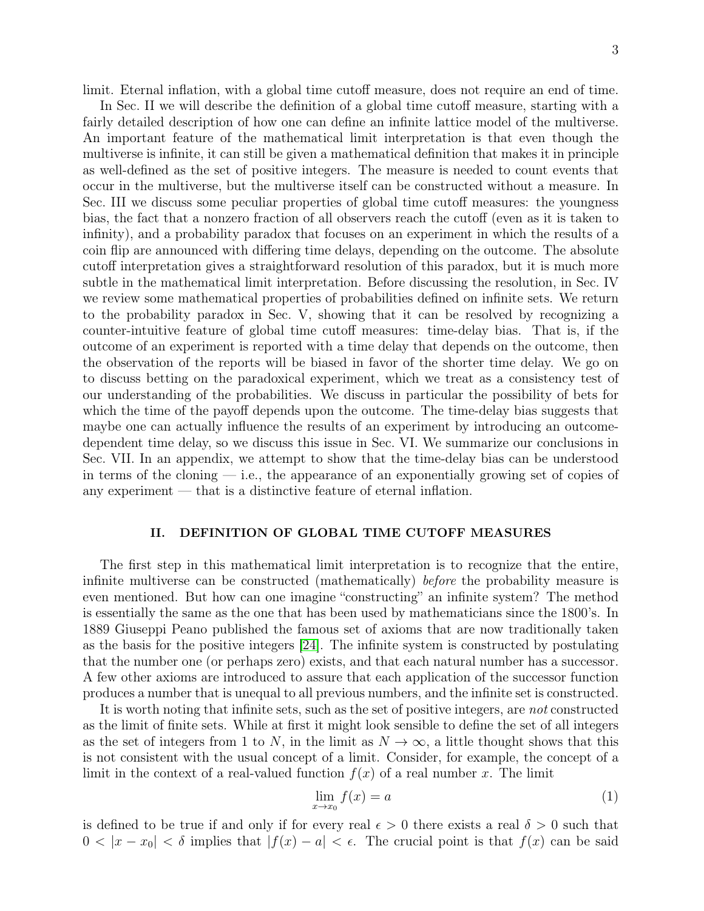In Sec. II we will describe the definition of a global time cutoff measure, starting with a fairly detailed description of how one can define an infinite lattice model of the multiverse. An important feature of the mathematical limit interpretation is that even though the multiverse is infinite, it can still be given a mathematical definition that makes it in principle as well-defined as the set of positive integers. The measure is needed to count events that occur in the multiverse, but the multiverse itself can be constructed without a measure. In Sec. III we discuss some peculiar properties of global time cutoff measures: the youngness bias, the fact that a nonzero fraction of all observers reach the cutoff (even as it is taken to infinity), and a probability paradox that focuses on an experiment in which the results of a coin flip are announced with differing time delays, depending on the outcome. The absolute cutoff interpretation gives a straightforward resolution of this paradox, but it is much more subtle in the mathematical limit interpretation. Before discussing the resolution, in Sec. IV we review some mathematical properties of probabilities defined on infinite sets. We return to the probability paradox in Sec. V, showing that it can be resolved by recognizing a counter-intuitive feature of global time cutoff measures: time-delay bias. That is, if the outcome of an experiment is reported with a time delay that depends on the outcome, then the observation of the reports will be biased in favor of the shorter time delay. We go on to discuss betting on the paradoxical experiment, which we treat as a consistency test of our understanding of the probabilities. We discuss in particular the possibility of bets for which the time of the payoff depends upon the outcome. The time-delay bias suggests that maybe one can actually influence the results of an experiment by introducing an outcomedependent time delay, so we discuss this issue in Sec. VI. We summarize our conclusions in Sec. VII. In an appendix, we attempt to show that the time-delay bias can be understood in terms of the cloning  $-$  i.e., the appearance of an exponentially growing set of copies of any experiment — that is a distinctive feature of eternal inflation.

# <span id="page-2-0"></span>II. DEFINITION OF GLOBAL TIME CUTOFF MEASURES

The first step in this mathematical limit interpretation is to recognize that the entire, infinite multiverse can be constructed (mathematically) before the probability measure is even mentioned. But how can one imagine "constructing" an infinite system? The method is essentially the same as the one that has been used by mathematicians since the 1800's. In 1889 Giuseppi Peano published the famous set of axioms that are now traditionally taken as the basis for the positive integers [\[24\]](#page-31-4). The infinite system is constructed by postulating that the number one (or perhaps zero) exists, and that each natural number has a successor. A few other axioms are introduced to assure that each application of the successor function produces a number that is unequal to all previous numbers, and the infinite set is constructed.

It is worth noting that infinite sets, such as the set of positive integers, are not constructed as the limit of finite sets. While at first it might look sensible to define the set of all integers as the set of integers from 1 to N, in the limit as  $N \to \infty$ , a little thought shows that this is not consistent with the usual concept of a limit. Consider, for example, the concept of a limit in the context of a real-valued function  $f(x)$  of a real number x. The limit

$$
\lim_{x \to x_0} f(x) = a \tag{1}
$$

is defined to be true if and only if for every real  $\epsilon > 0$  there exists a real  $\delta > 0$  such that  $0 < |x - x_0| < \delta$  implies that  $|f(x) - a| < \epsilon$ . The crucial point is that  $f(x)$  can be said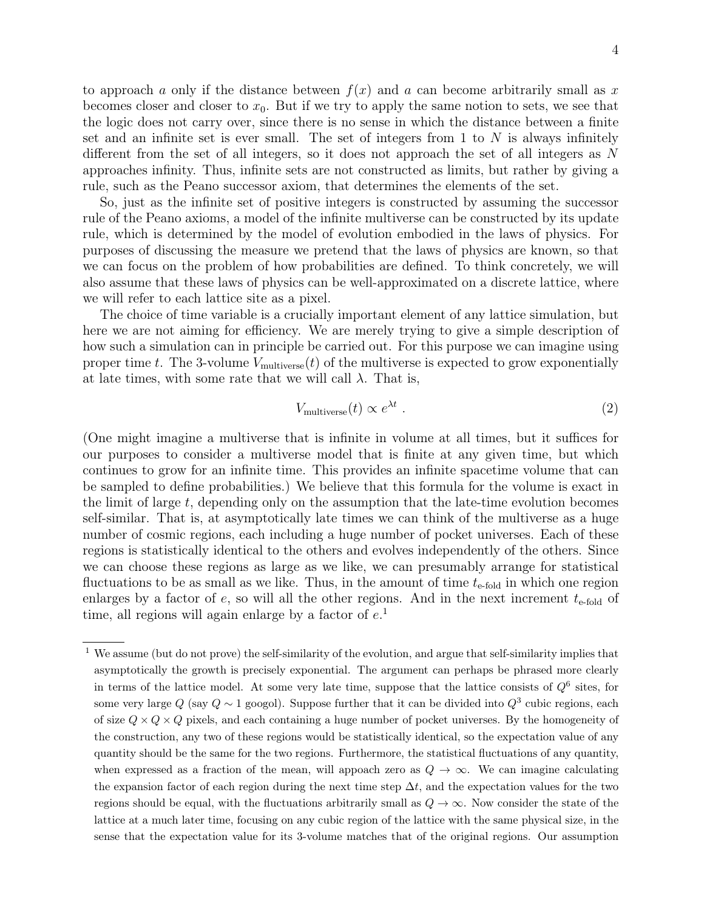to approach a only if the distance between  $f(x)$  and a can become arbitrarily small as x becomes closer and closer to  $x_0$ . But if we try to apply the same notion to sets, we see that the logic does not carry over, since there is no sense in which the distance between a finite set and an infinite set is ever small. The set of integers from 1 to  $N$  is always infinitely different from the set of all integers, so it does not approach the set of all integers as N approaches infinity. Thus, infinite sets are not constructed as limits, but rather by giving a rule, such as the Peano successor axiom, that determines the elements of the set.

So, just as the infinite set of positive integers is constructed by assuming the successor rule of the Peano axioms, a model of the infinite multiverse can be constructed by its update rule, which is determined by the model of evolution embodied in the laws of physics. For purposes of discussing the measure we pretend that the laws of physics are known, so that we can focus on the problem of how probabilities are defined. To think concretely, we will also assume that these laws of physics can be well-approximated on a discrete lattice, where we will refer to each lattice site as a pixel.

The choice of time variable is a crucially important element of any lattice simulation, but here we are not aiming for efficiency. We are merely trying to give a simple description of how such a simulation can in principle be carried out. For this purpose we can imagine using proper time t. The 3-volume  $V_{\text{multiverse}}(t)$  of the multiverse is expected to grow exponentially at late times, with some rate that we will call  $\lambda$ . That is,

<span id="page-3-0"></span>
$$
V_{\text{multiverse}}(t) \propto e^{\lambda t} \tag{2}
$$

(One might imagine a multiverse that is infinite in volume at all times, but it suffices for our purposes to consider a multiverse model that is finite at any given time, but which continues to grow for an infinite time. This provides an infinite spacetime volume that can be sampled to define probabilities.) We believe that this formula for the volume is exact in the limit of large t, depending only on the assumption that the late-time evolution becomes self-similar. That is, at asymptotically late times we can think of the multiverse as a huge number of cosmic regions, each including a huge number of pocket universes. Each of these regions is statistically identical to the others and evolves independently of the others. Since we can choose these regions as large as we like, we can presumably arrange for statistical fluctuations to be as small as we like. Thus, in the amount of time  $t_{\text{e-fold}}$  in which one region enlarges by a factor of  $e$ , so will all the other regions. And in the next increment  $t_{e-fold}$  of time, all regions will again enlarge by a factor of  $e^1$ .

<sup>&</sup>lt;sup>1</sup> We assume (but do not prove) the self-similarity of the evolution, and argue that self-similarity implies that asymptotically the growth is precisely exponential. The argument can perhaps be phrased more clearly in terms of the lattice model. At some very late time, suppose that the lattice consists of  $Q^6$  sites, for some very large Q (say  $Q \sim 1$  googol). Suppose further that it can be divided into  $Q^3$  cubic regions, each of size  $Q \times Q \times Q$  pixels, and each containing a huge number of pocket universes. By the homogeneity of the construction, any two of these regions would be statistically identical, so the expectation value of any quantity should be the same for the two regions. Furthermore, the statistical fluctuations of any quantity, when expressed as a fraction of the mean, will appoach zero as  $Q \to \infty$ . We can imagine calculating the expansion factor of each region during the next time step  $\Delta t$ , and the expectation values for the two regions should be equal, with the fluctuations arbitrarily small as  $Q \to \infty$ . Now consider the state of the lattice at a much later time, focusing on any cubic region of the lattice with the same physical size, in the sense that the expectation value for its 3-volume matches that of the original regions. Our assumption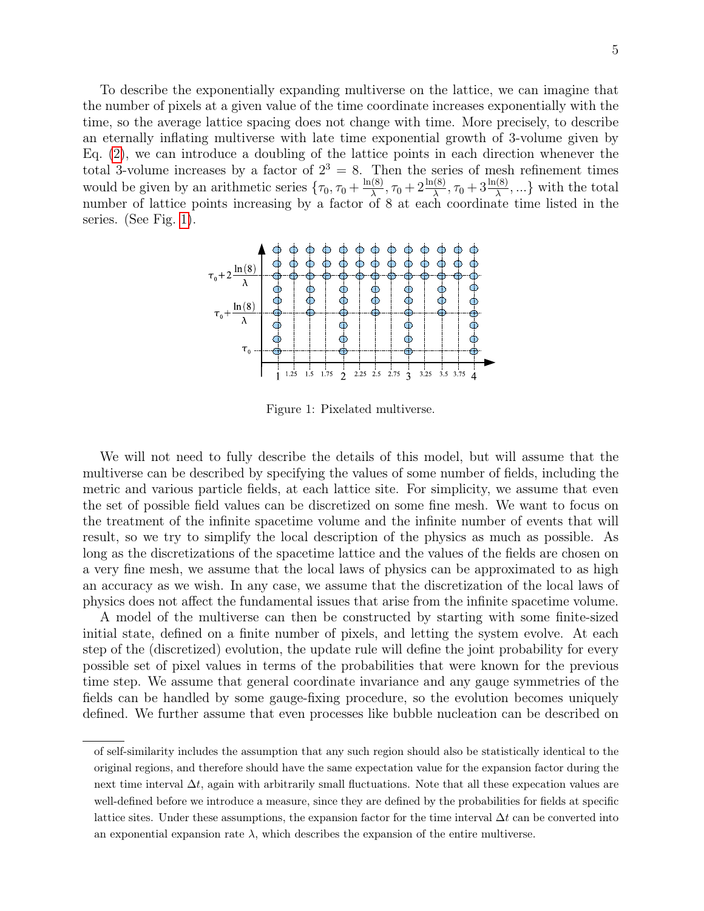To describe the exponentially expanding multiverse on the lattice, we can imagine that the number of pixels at a given value of the time coordinate increases exponentially with the time, so the average lattice spacing does not change with time. More precisely, to describe an eternally inflating multiverse with late time exponential growth of 3-volume given by Eq. [\(2\)](#page-3-0), we can introduce a doubling of the lattice points in each direction whenever the total 3-volume increases by a factor of  $2^3 = 8$ . Then the series of mesh refinement times would be given by an arithmetic series  $\{\tau_0, \tau_0 + \frac{\ln(8)}{\lambda}\}$  $\frac{(\frac{8}{\lambda})}{\lambda}, \tau_0 + 2\frac{\ln(8)}{\lambda}, \tau_0 + 3\frac{\ln(8)}{\lambda}, \ldots$  with the total number of lattice points increasing by a factor of 8 at each coordinate time listed in the series. (See Fig. [1\)](#page-4-0).



<span id="page-4-0"></span>Figure 1: Pixelated multiverse.

We will not need to fully describe the details of this model, but will assume that the multiverse can be described by specifying the values of some number of fields, including the metric and various particle fields, at each lattice site. For simplicity, we assume that even the set of possible field values can be discretized on some fine mesh. We want to focus on the treatment of the infinite spacetime volume and the infinite number of events that will result, so we try to simplify the local description of the physics as much as possible. As long as the discretizations of the spacetime lattice and the values of the fields are chosen on a very fine mesh, we assume that the local laws of physics can be approximated to as high an accuracy as we wish. In any case, we assume that the discretization of the local laws of physics does not affect the fundamental issues that arise from the infinite spacetime volume.

A model of the multiverse can then be constructed by starting with some finite-sized initial state, defined on a finite number of pixels, and letting the system evolve. At each step of the (discretized) evolution, the update rule will define the joint probability for every possible set of pixel values in terms of the probabilities that were known for the previous time step. We assume that general coordinate invariance and any gauge symmetries of the fields can be handled by some gauge-fixing procedure, so the evolution becomes uniquely defined. We further assume that even processes like bubble nucleation can be described on

of self-similarity includes the assumption that any such region should also be statistically identical to the original regions, and therefore should have the same expectation value for the expansion factor during the next time interval  $\Delta t$ , again with arbitrarily small fluctuations. Note that all these expecation values are well-defined before we introduce a measure, since they are defined by the probabilities for fields at specific lattice sites. Under these assumptions, the expansion factor for the time interval  $\Delta t$  can be converted into an exponential expansion rate  $\lambda$ , which describes the expansion of the entire multiverse.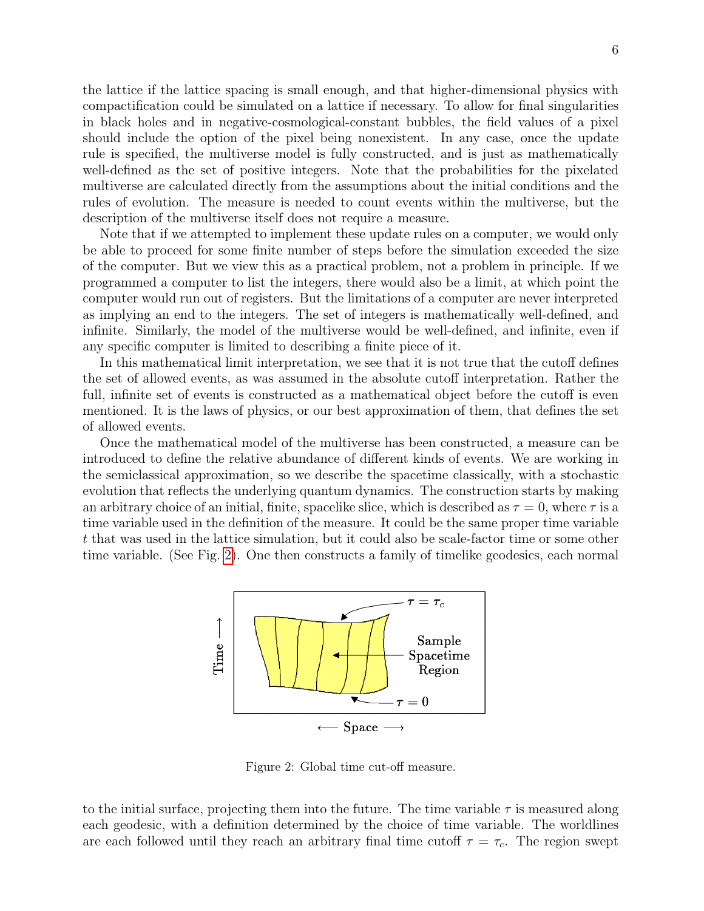the lattice if the lattice spacing is small enough, and that higher-dimensional physics with compactification could be simulated on a lattice if necessary. To allow for final singularities in black holes and in negative-cosmological-constant bubbles, the field values of a pixel should include the option of the pixel being nonexistent. In any case, once the update rule is specified, the multiverse model is fully constructed, and is just as mathematically well-defined as the set of positive integers. Note that the probabilities for the pixelated multiverse are calculated directly from the assumptions about the initial conditions and the rules of evolution. The measure is needed to count events within the multiverse, but the description of the multiverse itself does not require a measure.

Note that if we attempted to implement these update rules on a computer, we would only be able to proceed for some finite number of steps before the simulation exceeded the size of the computer. But we view this as a practical problem, not a problem in principle. If we programmed a computer to list the integers, there would also be a limit, at which point the computer would run out of registers. But the limitations of a computer are never interpreted as implying an end to the integers. The set of integers is mathematically well-defined, and infinite. Similarly, the model of the multiverse would be well-defined, and infinite, even if any specific computer is limited to describing a finite piece of it.

In this mathematical limit interpretation, we see that it is not true that the cutoff defines the set of allowed events, as was assumed in the absolute cutoff interpretation. Rather the full, infinite set of events is constructed as a mathematical object before the cutoff is even mentioned. It is the laws of physics, or our best approximation of them, that defines the set of allowed events.

Once the mathematical model of the multiverse has been constructed, a measure can be introduced to define the relative abundance of different kinds of events. We are working in the semiclassical approximation, so we describe the spacetime classically, with a stochastic evolution that reflects the underlying quantum dynamics. The construction starts by making an arbitrary choice of an initial, finite, spacelike slice, which is described as  $\tau = 0$ , where  $\tau$  is a time variable used in the definition of the measure. It could be the same proper time variable t that was used in the lattice simulation, but it could also be scale-factor time or some other time variable. (See Fig. [2\)](#page-5-0). One then constructs a family of timelike geodesics, each normal



<span id="page-5-0"></span>Figure 2: Global time cut-off measure.

to the initial surface, projecting them into the future. The time variable  $\tau$  is measured along each geodesic, with a definition determined by the choice of time variable. The worldlines are each followed until they reach an arbitrary final time cutoff  $\tau = \tau_c$ . The region swept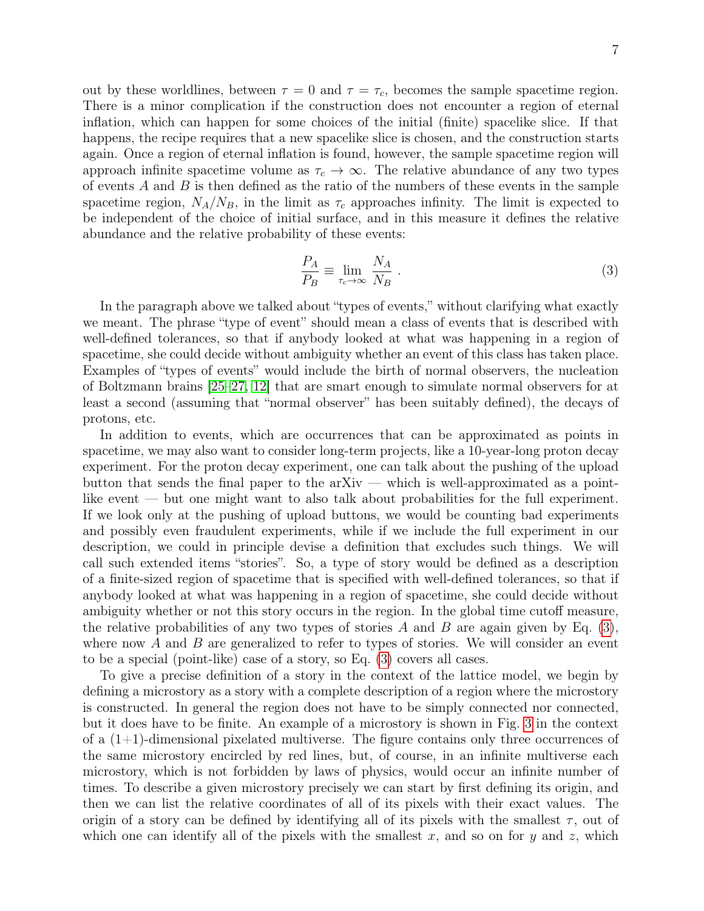out by these worldlines, between  $\tau = 0$  and  $\tau = \tau_c$ , becomes the sample spacetime region. There is a minor complication if the construction does not encounter a region of eternal inflation, which can happen for some choices of the initial (finite) spacelike slice. If that happens, the recipe requires that a new spacelike slice is chosen, and the construction starts again. Once a region of eternal inflation is found, however, the sample spacetime region will approach infinite spacetime volume as  $\tau_c \to \infty$ . The relative abundance of any two types of events  $A$  and  $B$  is then defined as the ratio of the numbers of these events in the sample spacetime region,  $N_A/N_B$ , in the limit as  $\tau_c$  approaches infinity. The limit is expected to be independent of the choice of initial surface, and in this measure it defines the relative abundance and the relative probability of these events:

<span id="page-6-0"></span>
$$
\frac{P_A}{P_B} \equiv \lim_{\tau_c \to \infty} \frac{N_A}{N_B} \,. \tag{3}
$$

In the paragraph above we talked about "types of events," without clarifying what exactly we meant. The phrase "type of event" should mean a class of events that is described with well-defined tolerances, so that if anybody looked at what was happening in a region of spacetime, she could decide without ambiguity whether an event of this class has taken place. Examples of "types of events" would include the birth of normal observers, the nucleation of Boltzmann brains [\[25](#page-31-5)[–27,](#page-31-6) [12\]](#page-30-4) that are smart enough to simulate normal observers for at least a second (assuming that "normal observer" has been suitably defined), the decays of protons, etc.

In addition to events, which are occurrences that can be approximated as points in spacetime, we may also want to consider long-term projects, like a 10-year-long proton decay experiment. For the proton decay experiment, one can talk about the pushing of the upload button that sends the final paper to the arXiv — which is well-approximated as a pointlike event — but one might want to also talk about probabilities for the full experiment. If we look only at the pushing of upload buttons, we would be counting bad experiments and possibly even fraudulent experiments, while if we include the full experiment in our description, we could in principle devise a definition that excludes such things. We will call such extended items "stories". So, a type of story would be defined as a description of a finite-sized region of spacetime that is specified with well-defined tolerances, so that if anybody looked at what was happening in a region of spacetime, she could decide without ambiguity whether or not this story occurs in the region. In the global time cutoff measure, the relative probabilities of any two types of stories A and B are again given by Eq.  $(3)$ , where now  $A$  and  $B$  are generalized to refer to types of stories. We will consider an event to be a special (point-like) case of a story, so Eq. [\(3\)](#page-6-0) covers all cases.

To give a precise definition of a story in the context of the lattice model, we begin by defining a microstory as a story with a complete description of a region where the microstory is constructed. In general the region does not have to be simply connected nor connected, but it does have to be finite. An example of a microstory is shown in Fig. [3](#page-7-0) in the context of a  $(1+1)$ -dimensional pixelated multiverse. The figure contains only three occurrences of the same microstory encircled by red lines, but, of course, in an infinite multiverse each microstory, which is not forbidden by laws of physics, would occur an infinite number of times. To describe a given microstory precisely we can start by first defining its origin, and then we can list the relative coordinates of all of its pixels with their exact values. The origin of a story can be defined by identifying all of its pixels with the smallest  $\tau$ , out of which one can identify all of the pixels with the smallest x, and so on for y and z, which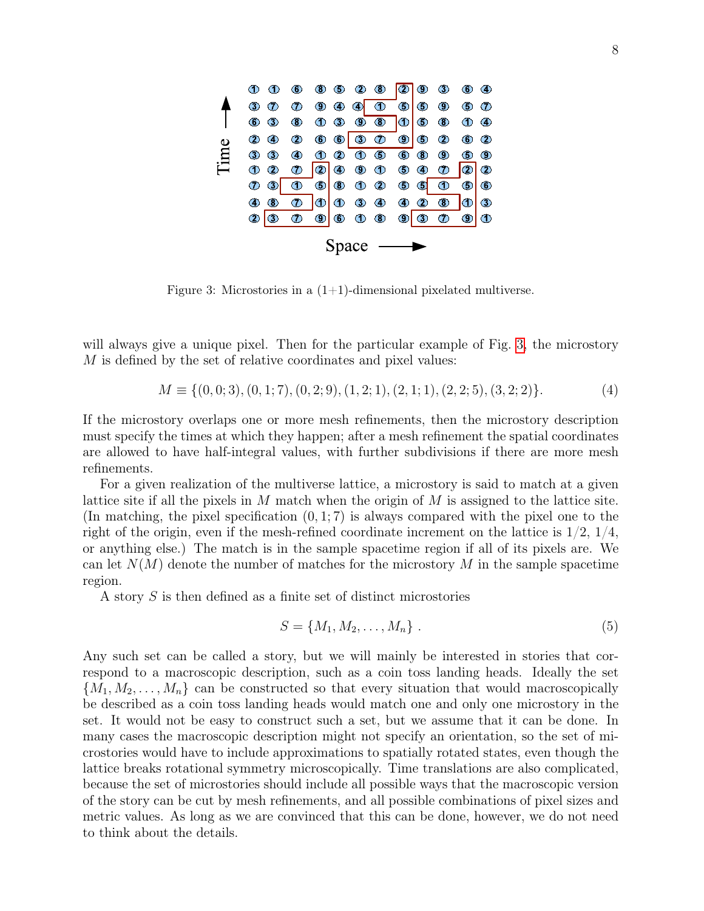

<span id="page-7-0"></span>Figure 3: Microstories in a  $(1+1)$ -dimensional pixelated multiverse.

will always give a unique pixel. Then for the particular example of Fig. [3,](#page-7-0) the microstory M is defined by the set of relative coordinates and pixel values:

$$
M \equiv \{ (0,0;3), (0,1;7), (0,2;9), (1,2;1), (2,1;1), (2,2;5), (3,2;2) \}. \tag{4}
$$

If the microstory overlaps one or more mesh refinements, then the microstory description must specify the times at which they happen; after a mesh refinement the spatial coordinates are allowed to have half-integral values, with further subdivisions if there are more mesh refinements.

For a given realization of the multiverse lattice, a microstory is said to match at a given lattice site if all the pixels in M match when the origin of M is assigned to the lattice site. (In matching, the pixel specification  $(0, 1; 7)$  is always compared with the pixel one to the right of the origin, even if the mesh-refined coordinate increment on the lattice is  $1/2$ ,  $1/4$ , or anything else.) The match is in the sample spacetime region if all of its pixels are. We can let  $N(M)$  denote the number of matches for the microstory M in the sample spacetime region.

A story S is then defined as a finite set of distinct microstories

$$
S = \{M_1, M_2, \dots, M_n\} .
$$
 (5)

Any such set can be called a story, but we will mainly be interested in stories that correspond to a macroscopic description, such as a coin toss landing heads. Ideally the set  ${M_1, M_2, \ldots, M_n}$  can be constructed so that every situation that would macroscopically be described as a coin toss landing heads would match one and only one microstory in the set. It would not be easy to construct such a set, but we assume that it can be done. In many cases the macroscopic description might not specify an orientation, so the set of microstories would have to include approximations to spatially rotated states, even though the lattice breaks rotational symmetry microscopically. Time translations are also complicated, because the set of microstories should include all possible ways that the macroscopic version of the story can be cut by mesh refinements, and all possible combinations of pixel sizes and metric values. As long as we are convinced that this can be done, however, we do not need to think about the details.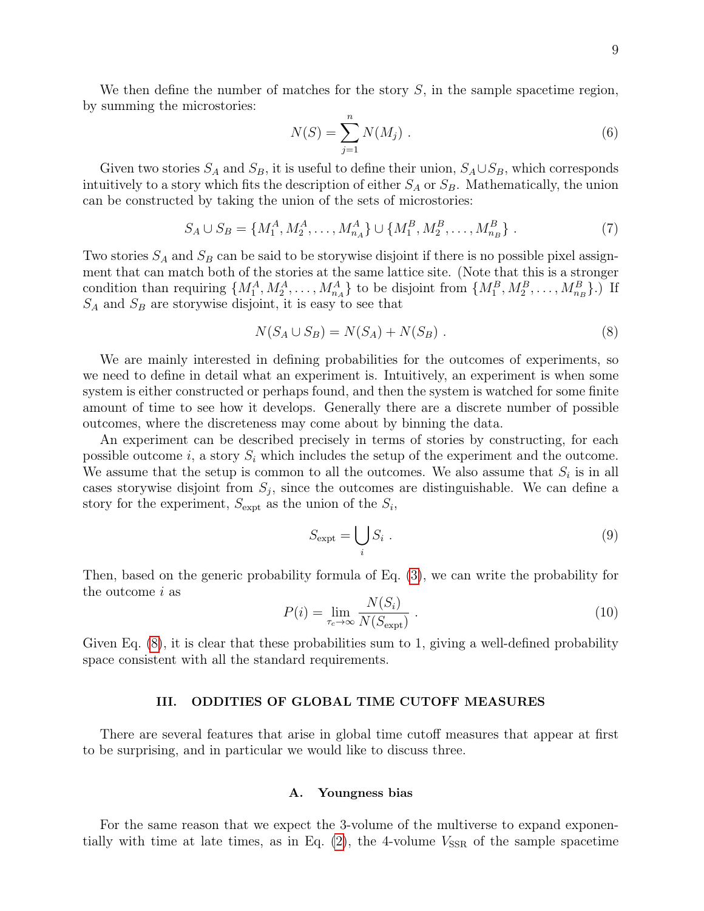We then define the number of matches for the story  $S$ , in the sample spacetime region, by summing the microstories:

$$
N(S) = \sum_{j=1}^{n} N(M_j) \ . \tag{6}
$$

Given two stories  $S_A$  and  $S_B$ , it is useful to define their union,  $S_A \cup S_B$ , which corresponds intuitively to a story which fits the description of either  $S_A$  or  $S_B$ . Mathematically, the union can be constructed by taking the union of the sets of microstories:

$$
S_A \cup S_B = \{M_1^A, M_2^A, \dots, M_{n_A}^A\} \cup \{M_1^B, M_2^B, \dots, M_{n_B}^B\}.
$$
 (7)

Two stories  $S_A$  and  $S_B$  can be said to be storywise disjoint if there is no possible pixel assignment that can match both of the stories at the same lattice site. (Note that this is a stronger condition than requiring  $\{M_1^A, M_2^A, \ldots, M_{n_A}^A\}$  to be disjoint from  $\{M_1^B, M_2^B, \ldots, M_{n_B}^B\}$ .) If  $S_A$  and  $S_B$  are storywise disjoint, it is easy to see that

<span id="page-8-0"></span>
$$
N(S_A \cup S_B) = N(S_A) + N(S_B) . \tag{8}
$$

We are mainly interested in defining probabilities for the outcomes of experiments, so we need to define in detail what an experiment is. Intuitively, an experiment is when some system is either constructed or perhaps found, and then the system is watched for some finite amount of time to see how it develops. Generally there are a discrete number of possible outcomes, where the discreteness may come about by binning the data.

An experiment can be described precisely in terms of stories by constructing, for each possible outcome i, a story  $S_i$  which includes the setup of the experiment and the outcome. We assume that the setup is common to all the outcomes. We also assume that  $S_i$  is in all cases storywise disjoint from  $S_j$ , since the outcomes are distinguishable. We can define a story for the experiment,  $S_{\text{expt}}$  as the union of the  $S_i$ ,

<span id="page-8-3"></span>
$$
S_{\text{expt}} = \bigcup_{i} S_i . \tag{9}
$$

Then, based on the generic probability formula of Eq. [\(3\)](#page-6-0), we can write the probability for the outcome i as

<span id="page-8-2"></span>
$$
P(i) = \lim_{\tau_c \to \infty} \frac{N(S_i)}{N(S_{\text{expt}})} \tag{10}
$$

Given Eq. [\(8\)](#page-8-0), it is clear that these probabilities sum to 1, giving a well-defined probability space consistent with all the standard requirements.

# III. ODDITIES OF GLOBAL TIME CUTOFF MEASURES

There are several features that arise in global time cutoff measures that appear at first to be surprising, and in particular we would like to discuss three.

### <span id="page-8-1"></span>A. Youngness bias

For the same reason that we expect the 3-volume of the multiverse to expand exponentially with time at late times, as in Eq.  $(2)$ , the 4-volume  $V_{SSR}$  of the sample spacetime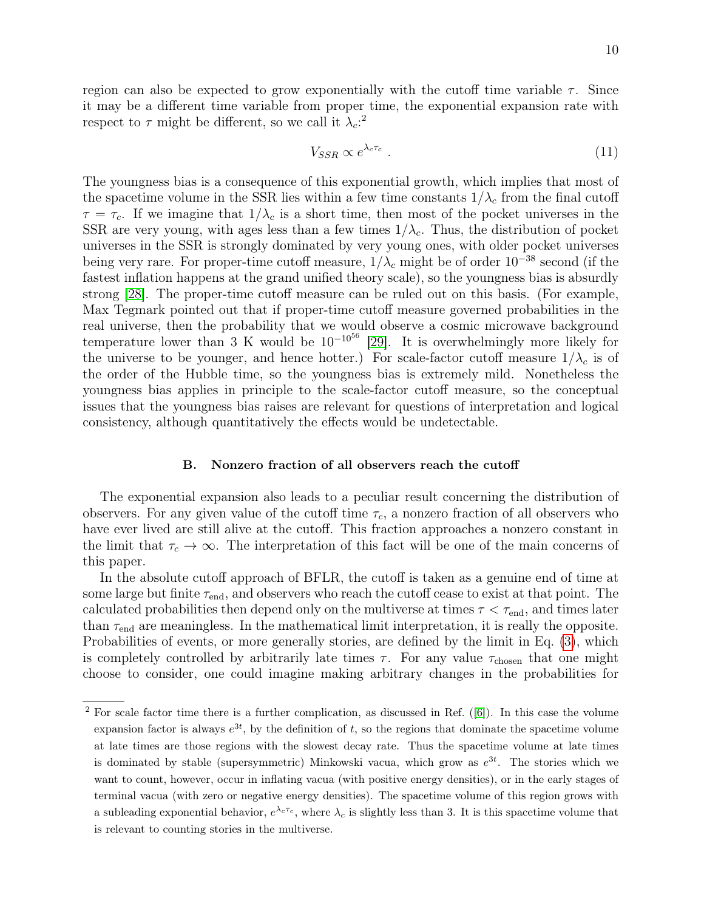$$
V_{SSR} \propto e^{\lambda_c \tau_c} \tag{11}
$$

The youngness bias is a consequence of this exponential growth, which implies that most of the spacetime volume in the SSR lies within a few time constants  $1/\lambda_c$  from the final cutoff  $\tau = \tau_c$ . If we imagine that  $1/\lambda_c$  is a short time, then most of the pocket universes in the SSR are very young, with ages less than a few times  $1/\lambda_c$ . Thus, the distribution of pocket universes in the SSR is strongly dominated by very young ones, with older pocket universes being very rare. For proper-time cutoff measure,  $1/\lambda_c$  might be of order  $10^{-38}$  second (if the fastest inflation happens at the grand unified theory scale), so the youngness bias is absurdly strong [\[28\]](#page-31-7). The proper-time cutoff measure can be ruled out on this basis. (For example, Max Tegmark pointed out that if proper-time cutoff measure governed probabilities in the real universe, then the probability that we would observe a cosmic microwave background temperature lower than 3 K would be  $10^{-10^{56}}$  [\[29\]](#page-31-8). It is overwhelmingly more likely for the universe to be younger, and hence hotter.) For scale-factor cutoff measure  $1/\lambda_c$  is of the order of the Hubble time, so the youngness bias is extremely mild. Nonetheless the youngness bias applies in principle to the scale-factor cutoff measure, so the conceptual issues that the youngness bias raises are relevant for questions of interpretation and logical consistency, although quantitatively the effects would be undetectable.

### B. Nonzero fraction of all observers reach the cutoff

The exponential expansion also leads to a peculiar result concerning the distribution of observers. For any given value of the cutoff time  $\tau_c$ , a nonzero fraction of all observers who have ever lived are still alive at the cutoff. This fraction approaches a nonzero constant in the limit that  $\tau_c \to \infty$ . The interpretation of this fact will be one of the main concerns of this paper.

In the absolute cutoff approach of BFLR, the cutoff is taken as a genuine end of time at some large but finite  $\tau_{end}$ , and observers who reach the cutoff cease to exist at that point. The calculated probabilities then depend only on the multiverse at times  $\tau < \tau_{\text{end}}$ , and times later than  $\tau_{end}$  are meaningless. In the mathematical limit interpretation, it is really the opposite. Probabilities of events, or more generally stories, are defined by the limit in Eq. [\(3\)](#page-6-0), which is completely controlled by arbitrarily late times  $\tau$ . For any value  $\tau_{\text{chosen}}$  that one might choose to consider, one could imagine making arbitrary changes in the probabilities for

 $2$  For scale factor time there is a further complication, as discussed in Ref. ([\[6\]](#page-30-5)). In this case the volume expansion factor is always  $e^{3t}$ , by the definition of t, so the regions that dominate the spacetime volume at late times are those regions with the slowest decay rate. Thus the spacetime volume at late times is dominated by stable (supersymmetric) Minkowski vacua, which grow as  $e^{3t}$ . The stories which we want to count, however, occur in inflating vacua (with positive energy densities), or in the early stages of terminal vacua (with zero or negative energy densities). The spacetime volume of this region grows with a subleading exponential behavior,  $e^{\lambda_c \tau_c}$ , where  $\lambda_c$  is slightly less than 3. It is this spacetime volume that is relevant to counting stories in the multiverse.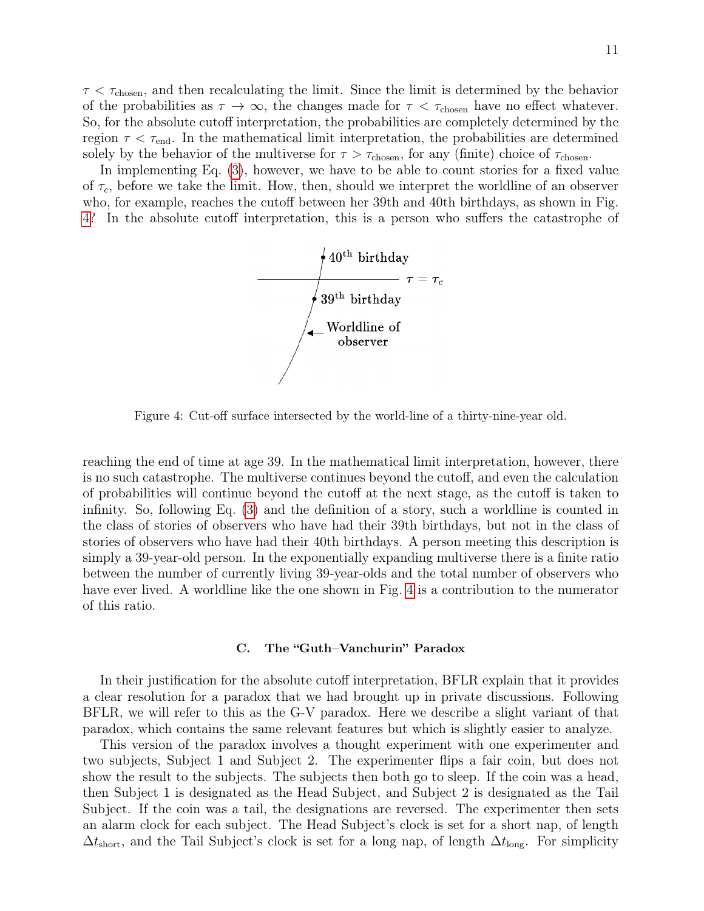$\tau < \tau_{\rm chosen}$ , and then recalculating the limit. Since the limit is determined by the behavior of the probabilities as  $\tau \to \infty$ , the changes made for  $\tau < \tau_{\text{chosen}}$  have no effect whatever. So, for the absolute cutoff interpretation, the probabilities are completely determined by the region  $\tau < \tau_{\text{end}}$ . In the mathematical limit interpretation, the probabilities are determined solely by the behavior of the multiverse for  $\tau > \tau_{\text{chosen}}$ , for any (finite) choice of  $\tau_{\text{chosen}}$ .

In implementing Eq. [\(3\)](#page-6-0), however, we have to be able to count stories for a fixed value of  $\tau_c$ , before we take the limit. How, then, should we interpret the worldline of an observer who, for example, reaches the cutoff between her 39th and 40th birthdays, as shown in Fig. [4?](#page-10-0) In the absolute cutoff interpretation, this is a person who suffers the catastrophe of



<span id="page-10-0"></span>Figure 4: Cut-off surface intersected by the world-line of a thirty-nine-year old.

reaching the end of time at age 39. In the mathematical limit interpretation, however, there is no such catastrophe. The multiverse continues beyond the cutoff, and even the calculation of probabilities will continue beyond the cutoff at the next stage, as the cutoff is taken to infinity. So, following Eq. [\(3\)](#page-6-0) and the definition of a story, such a worldline is counted in the class of stories of observers who have had their 39th birthdays, but not in the class of stories of observers who have had their 40th birthdays. A person meeting this description is simply a 39-year-old person. In the exponentially expanding multiverse there is a finite ratio between the number of currently living 39-year-olds and the total number of observers who have ever lived. A worldline like the one shown in Fig. [4](#page-10-0) is a contribution to the numerator of this ratio.

## <span id="page-10-1"></span>C. The "Guth–Vanchurin" Paradox

In their justification for the absolute cutoff interpretation, BFLR explain that it provides a clear resolution for a paradox that we had brought up in private discussions. Following BFLR, we will refer to this as the G-V paradox. Here we describe a slight variant of that paradox, which contains the same relevant features but which is slightly easier to analyze.

This version of the paradox involves a thought experiment with one experimenter and two subjects, Subject 1 and Subject 2. The experimenter flips a fair coin, but does not show the result to the subjects. The subjects then both go to sleep. If the coin was a head, then Subject 1 is designated as the Head Subject, and Subject 2 is designated as the Tail Subject. If the coin was a tail, the designations are reversed. The experimenter then sets an alarm clock for each subject. The Head Subject's clock is set for a short nap, of length  $\Delta t_{short}$ , and the Tail Subject's clock is set for a long nap, of length  $\Delta t_{long}$ . For simplicity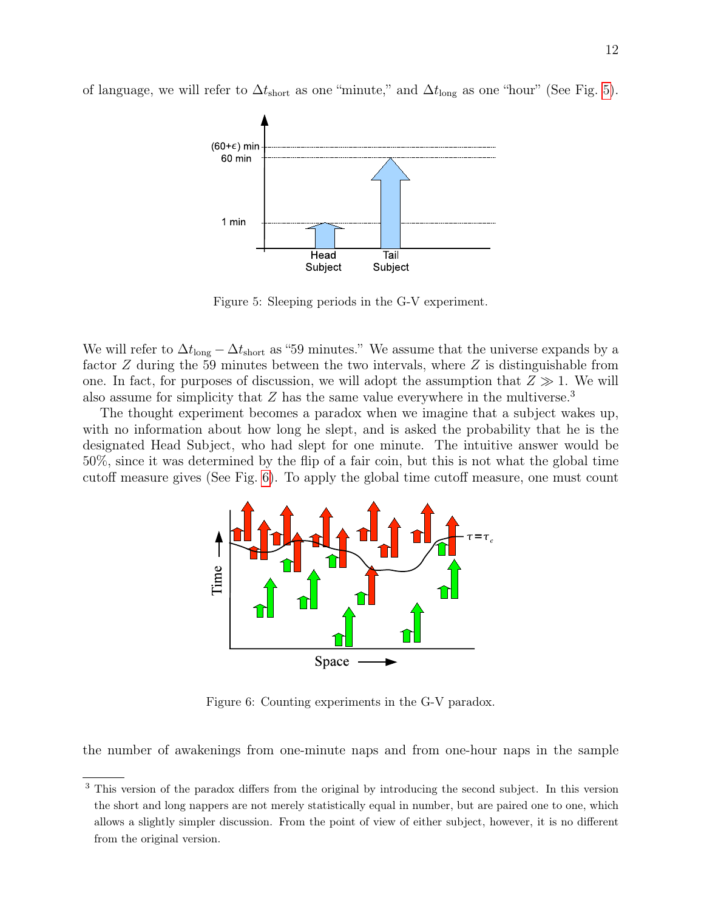of language, we will refer to  $\Delta t_{\text{short}}$  as one "minute," and  $\Delta t_{\text{long}}$  as one "hour" (See Fig. [5\)](#page-11-0).



<span id="page-11-0"></span>Figure 5: Sleeping periods in the G-V experiment.

We will refer to  $\Delta t_{\text{long}} - \Delta t_{\text{short}}$  as "59 minutes." We assume that the universe expands by a factor  $Z$  during the 59 minutes between the two intervals, where  $Z$  is distinguishable from one. In fact, for purposes of discussion, we will adopt the assumption that  $Z \gg 1$ . We will also assume for simplicity that  $Z$  has the same value everywhere in the multiverse.<sup>3</sup>

The thought experiment becomes a paradox when we imagine that a subject wakes up, with no information about how long he slept, and is asked the probability that he is the designated Head Subject, who had slept for one minute. The intuitive answer would be 50%, since it was determined by the flip of a fair coin, but this is not what the global time cutoff measure gives (See Fig. [6\)](#page-11-1). To apply the global time cutoff measure, one must count



<span id="page-11-1"></span>Figure 6: Counting experiments in the G-V paradox.

the number of awakenings from one-minute naps and from one-hour naps in the sample

<sup>&</sup>lt;sup>3</sup> This version of the paradox differs from the original by introducing the second subject. In this version the short and long nappers are not merely statistically equal in number, but are paired one to one, which allows a slightly simpler discussion. From the point of view of either subject, however, it is no different from the original version.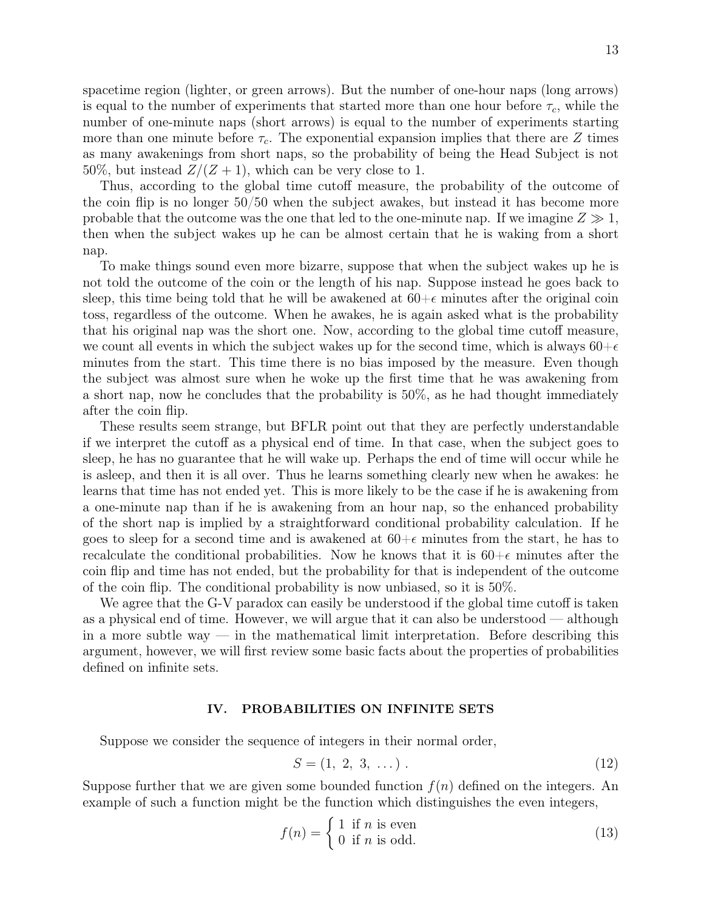spacetime region (lighter, or green arrows). But the number of one-hour naps (long arrows) is equal to the number of experiments that started more than one hour before  $\tau_c$ , while the number of one-minute naps (short arrows) is equal to the number of experiments starting more than one minute before  $\tau_c$ . The exponential expansion implies that there are Z times as many awakenings from short naps, so the probability of being the Head Subject is not 50%, but instead  $Z/(Z+1)$ , which can be very close to 1.

Thus, according to the global time cutoff measure, the probability of the outcome of the coin flip is no longer 50/50 when the subject awakes, but instead it has become more probable that the outcome was the one that led to the one-minute nap. If we imagine  $Z \gg 1$ , then when the subject wakes up he can be almost certain that he is waking from a short nap.

To make things sound even more bizarre, suppose that when the subject wakes up he is not told the outcome of the coin or the length of his nap. Suppose instead he goes back to sleep, this time being told that he will be awakened at  $60+\epsilon$  minutes after the original coin toss, regardless of the outcome. When he awakes, he is again asked what is the probability that his original nap was the short one. Now, according to the global time cutoff measure, we count all events in which the subject wakes up for the second time, which is always  $60+\epsilon$ minutes from the start. This time there is no bias imposed by the measure. Even though the subject was almost sure when he woke up the first time that he was awakening from a short nap, now he concludes that the probability is 50%, as he had thought immediately after the coin flip.

These results seem strange, but BFLR point out that they are perfectly understandable if we interpret the cutoff as a physical end of time. In that case, when the subject goes to sleep, he has no guarantee that he will wake up. Perhaps the end of time will occur while he is asleep, and then it is all over. Thus he learns something clearly new when he awakes: he learns that time has not ended yet. This is more likely to be the case if he is awakening from a one-minute nap than if he is awakening from an hour nap, so the enhanced probability of the short nap is implied by a straightforward conditional probability calculation. If he goes to sleep for a second time and is awakened at  $60+\epsilon$  minutes from the start, he has to recalculate the conditional probabilities. Now he knows that it is  $60+\epsilon$  minutes after the coin flip and time has not ended, but the probability for that is independent of the outcome of the coin flip. The conditional probability is now unbiased, so it is 50%.

We agree that the G-V paradox can easily be understood if the global time cutoff is taken as a physical end of time. However, we will argue that it can also be understood — although in a more subtle way — in the mathematical limit interpretation. Before describing this argument, however, we will first review some basic facts about the properties of probabilities defined on infinite sets.

# IV. PROBABILITIES ON INFINITE SETS

Suppose we consider the sequence of integers in their normal order,

<span id="page-12-0"></span>
$$
S = (1, 2, 3, \dots). \tag{12}
$$

Suppose further that we are given some bounded function  $f(n)$  defined on the integers. An example of such a function might be the function which distinguishes the even integers,

$$
f(n) = \begin{cases} 1 & \text{if } n \text{ is even} \\ 0 & \text{if } n \text{ is odd.} \end{cases}
$$
 (13)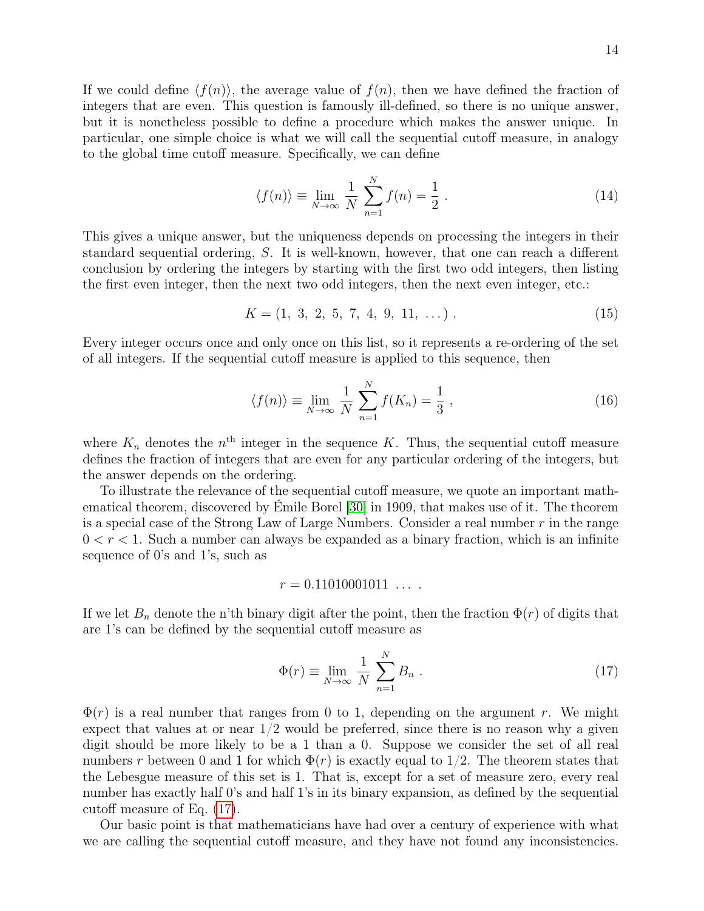If we could define  $\langle f(n) \rangle$ , the average value of  $f(n)$ , then we have defined the fraction of integers that are even. This question is famously ill-defined, so there is no unique answer, but it is nonetheless possible to define a procedure which makes the answer unique. In particular, one simple choice is what we will call the sequential cutoff measure, in analogy to the global time cutoff measure. Specifically, we can define

<span id="page-13-1"></span>
$$
\langle f(n) \rangle \equiv \lim_{N \to \infty} \frac{1}{N} \sum_{n=1}^{N} f(n) = \frac{1}{2} \,. \tag{14}
$$

This gives a unique answer, but the uniqueness depends on processing the integers in their standard sequential ordering, S. It is well-known, however, that one can reach a different conclusion by ordering the integers by starting with the first two odd integers, then listing the first even integer, then the next two odd integers, then the next even integer, etc.:

<span id="page-13-3"></span>
$$
K = (1, 3, 2, 5, 7, 4, 9, 11, \dots). \tag{15}
$$

Every integer occurs once and only once on this list, so it represents a re-ordering of the set of all integers. If the sequential cutoff measure is applied to this sequence, then

<span id="page-13-2"></span>
$$
\langle f(n) \rangle \equiv \lim_{N \to \infty} \frac{1}{N} \sum_{n=1}^{N} f(K_n) = \frac{1}{3}, \qquad (16)
$$

where  $K_n$  denotes the  $n<sup>th</sup>$  integer in the sequence K. Thus, the sequential cutoff measure defines the fraction of integers that are even for any particular ordering of the integers, but the answer depends on the ordering.

To illustrate the relevance of the sequential cutoff measure, we quote an important mathematical theorem, discovered by Émile Borel [\[30\]](#page-31-9) in 1909, that makes use of it. The theorem is a special case of the Strong Law of Large Numbers. Consider a real number  $r$  in the range  $0 < r < 1$ . Such a number can always be expanded as a binary fraction, which is an infinite sequence of 0's and 1's, such as

$$
r = 0.11010001011 \ldots
$$

If we let  $B_n$  denote the n'th binary digit after the point, then the fraction  $\Phi(r)$  of digits that are 1's can be defined by the sequential cutoff measure as

<span id="page-13-0"></span>
$$
\Phi(r) \equiv \lim_{N \to \infty} \frac{1}{N} \sum_{n=1}^{N} B_n . \qquad (17)
$$

 $\Phi(r)$  is a real number that ranges from 0 to 1, depending on the argument r. We might expect that values at or near  $1/2$  would be preferred, since there is no reason why a given digit should be more likely to be a 1 than a 0. Suppose we consider the set of all real numbers r between 0 and 1 for which  $\Phi(r)$  is exactly equal to 1/2. The theorem states that the Lebesgue measure of this set is 1. That is, except for a set of measure zero, every real number has exactly half 0's and half 1's in its binary expansion, as defined by the sequential cutoff measure of Eq. [\(17\)](#page-13-0).

Our basic point is that mathematicians have had over a century of experience with what we are calling the sequential cutoff measure, and they have not found any inconsistencies.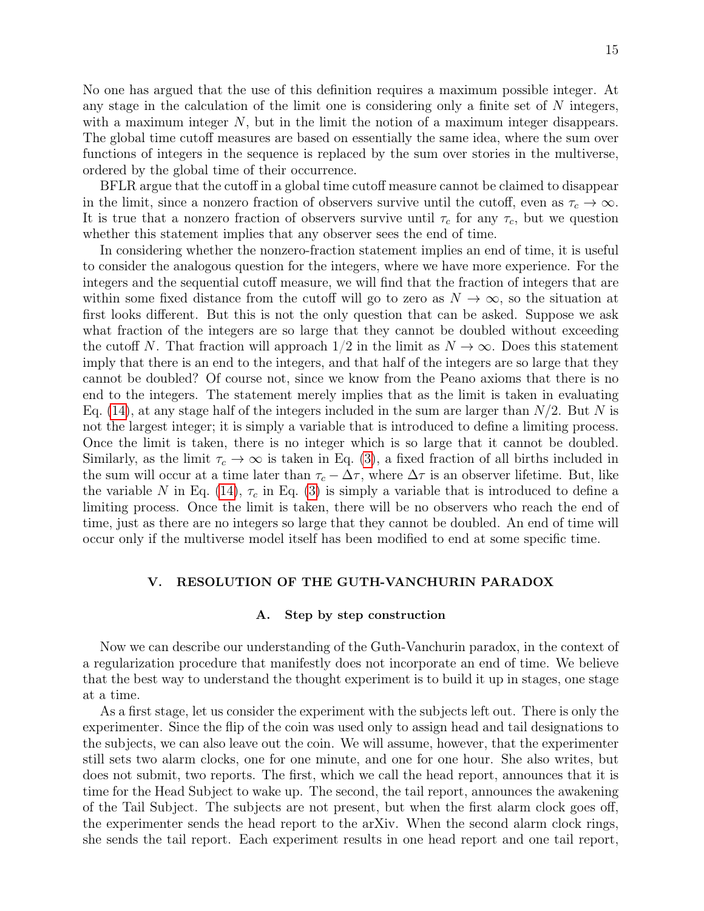No one has argued that the use of this definition requires a maximum possible integer. At any stage in the calculation of the limit one is considering only a finite set of  $N$  integers, with a maximum integer  $N$ , but in the limit the notion of a maximum integer disappears. The global time cutoff measures are based on essentially the same idea, where the sum over functions of integers in the sequence is replaced by the sum over stories in the multiverse, ordered by the global time of their occurrence.

BFLR argue that the cutoff in a global time cutoff measure cannot be claimed to disappear in the limit, since a nonzero fraction of observers survive until the cutoff, even as  $\tau_c \to \infty$ . It is true that a nonzero fraction of observers survive until  $\tau_c$  for any  $\tau_c$ , but we question whether this statement implies that any observer sees the end of time.

In considering whether the nonzero-fraction statement implies an end of time, it is useful to consider the analogous question for the integers, where we have more experience. For the integers and the sequential cutoff measure, we will find that the fraction of integers that are within some fixed distance from the cutoff will go to zero as  $N \to \infty$ , so the situation at first looks different. But this is not the only question that can be asked. Suppose we ask what fraction of the integers are so large that they cannot be doubled without exceeding the cutoff N. That fraction will approach  $1/2$  in the limit as  $N \to \infty$ . Does this statement imply that there is an end to the integers, and that half of the integers are so large that they cannot be doubled? Of course not, since we know from the Peano axioms that there is no end to the integers. The statement merely implies that as the limit is taken in evaluating Eq. [\(14\)](#page-13-1), at any stage half of the integers included in the sum are larger than  $N/2$ . But N is not the largest integer; it is simply a variable that is introduced to define a limiting process. Once the limit is taken, there is no integer which is so large that it cannot be doubled. Similarly, as the limit  $\tau_c \to \infty$  is taken in Eq. [\(3\)](#page-6-0), a fixed fraction of all births included in the sum will occur at a time later than  $\tau_c - \Delta \tau$ , where  $\Delta \tau$  is an observer lifetime. But, like the variable N in Eq. [\(14\)](#page-13-1),  $\tau_c$  in Eq. [\(3\)](#page-6-0) is simply a variable that is introduced to define a limiting process. Once the limit is taken, there will be no observers who reach the end of time, just as there are no integers so large that they cannot be doubled. An end of time will occur only if the multiverse model itself has been modified to end at some specific time.

# V. RESOLUTION OF THE GUTH-VANCHURIN PARADOX

### <span id="page-14-0"></span>A. Step by step construction

Now we can describe our understanding of the Guth-Vanchurin paradox, in the context of a regularization procedure that manifestly does not incorporate an end of time. We believe that the best way to understand the thought experiment is to build it up in stages, one stage at a time.

As a first stage, let us consider the experiment with the subjects left out. There is only the experimenter. Since the flip of the coin was used only to assign head and tail designations to the subjects, we can also leave out the coin. We will assume, however, that the experimenter still sets two alarm clocks, one for one minute, and one for one hour. She also writes, but does not submit, two reports. The first, which we call the head report, announces that it is time for the Head Subject to wake up. The second, the tail report, announces the awakening of the Tail Subject. The subjects are not present, but when the first alarm clock goes off, the experimenter sends the head report to the arXiv. When the second alarm clock rings, she sends the tail report. Each experiment results in one head report and one tail report,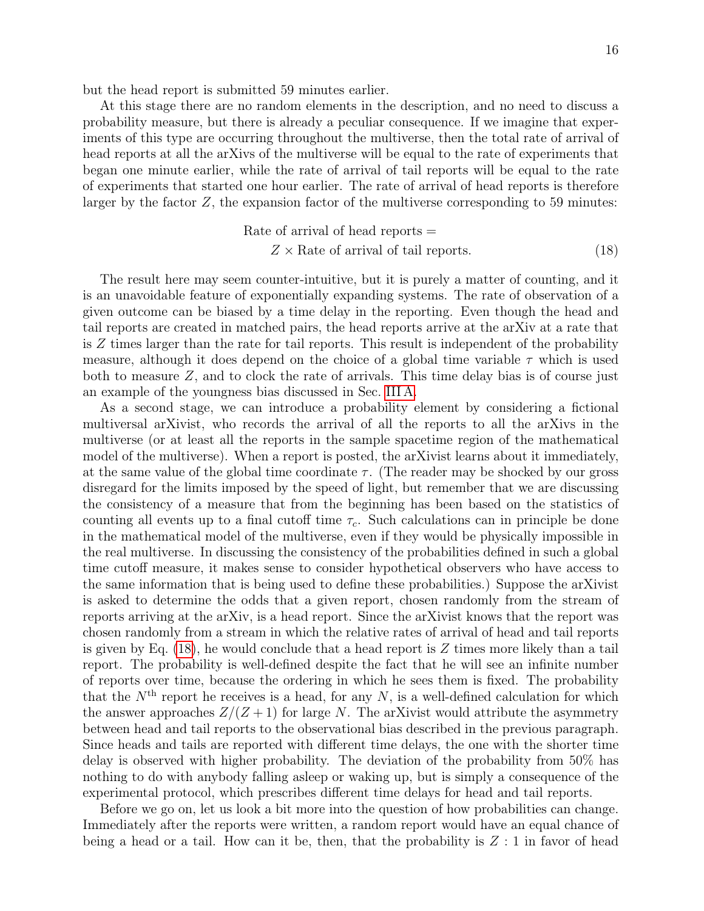but the head report is submitted 59 minutes earlier.

At this stage there are no random elements in the description, and no need to discuss a probability measure, but there is already a peculiar consequence. If we imagine that experiments of this type are occurring throughout the multiverse, then the total rate of arrival of head reports at all the arXivs of the multiverse will be equal to the rate of experiments that began one minute earlier, while the rate of arrival of tail reports will be equal to the rate of experiments that started one hour earlier. The rate of arrival of head reports is therefore larger by the factor  $Z$ , the expansion factor of the multiverse corresponding to 59 minutes:

<span id="page-15-0"></span>Rate of arrival of head reports =  
\n
$$
Z \times
$$
 Rate of arrival of tail reports. (18)

The result here may seem counter-intuitive, but it is purely a matter of counting, and it is an unavoidable feature of exponentially expanding systems. The rate of observation of a given outcome can be biased by a time delay in the reporting. Even though the head and tail reports are created in matched pairs, the head reports arrive at the arXiv at a rate that is Z times larger than the rate for tail reports. This result is independent of the probability measure, although it does depend on the choice of a global time variable  $\tau$  which is used both to measure  $Z$ , and to clock the rate of arrivals. This time delay bias is of course just an example of the youngness bias discussed in Sec. [III A.](#page-8-1)

As a second stage, we can introduce a probability element by considering a fictional multiversal arXivist, who records the arrival of all the reports to all the arXivs in the multiverse (or at least all the reports in the sample spacetime region of the mathematical model of the multiverse). When a report is posted, the arXivist learns about it immediately, at the same value of the global time coordinate  $\tau$ . (The reader may be shocked by our gross disregard for the limits imposed by the speed of light, but remember that we are discussing the consistency of a measure that from the beginning has been based on the statistics of counting all events up to a final cutoff time  $\tau_c$ . Such calculations can in principle be done in the mathematical model of the multiverse, even if they would be physically impossible in the real multiverse. In discussing the consistency of the probabilities defined in such a global time cutoff measure, it makes sense to consider hypothetical observers who have access to the same information that is being used to define these probabilities.) Suppose the arXivist is asked to determine the odds that a given report, chosen randomly from the stream of reports arriving at the arXiv, is a head report. Since the arXivist knows that the report was chosen randomly from a stream in which the relative rates of arrival of head and tail reports is given by Eq.  $(18)$ , he would conclude that a head report is Z times more likely than a tail report. The probability is well-defined despite the fact that he will see an infinite number of reports over time, because the ordering in which he sees them is fixed. The probability that the  $N<sup>th</sup>$  report he receives is a head, for any N, is a well-defined calculation for which the answer approaches  $Z/(Z+1)$  for large N. The arXivist would attribute the asymmetry between head and tail reports to the observational bias described in the previous paragraph. Since heads and tails are reported with different time delays, the one with the shorter time delay is observed with higher probability. The deviation of the probability from 50% has nothing to do with anybody falling asleep or waking up, but is simply a consequence of the experimental protocol, which prescribes different time delays for head and tail reports.

Before we go on, let us look a bit more into the question of how probabilities can change. Immediately after the reports were written, a random report would have an equal chance of being a head or a tail. How can it be, then, that the probability is  $Z:1$  in favor of head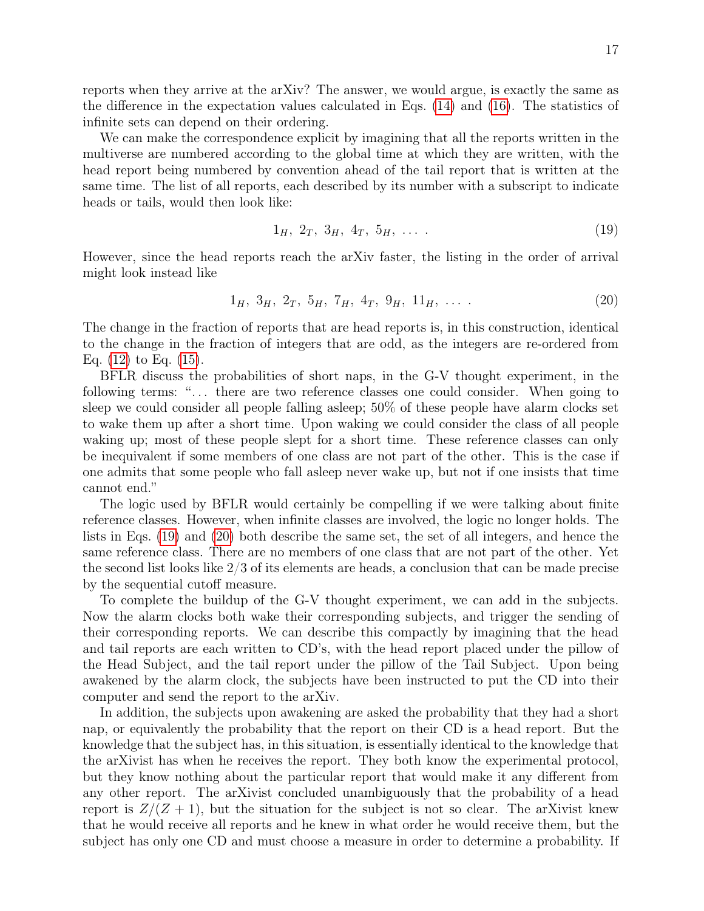reports when they arrive at the arXiv? The answer, we would argue, is exactly the same as the difference in the expectation values calculated in Eqs. [\(14\)](#page-13-1) and [\(16\)](#page-13-2). The statistics of infinite sets can depend on their ordering.

We can make the correspondence explicit by imagining that all the reports written in the multiverse are numbered according to the global time at which they are written, with the head report being numbered by convention ahead of the tail report that is written at the same time. The list of all reports, each described by its number with a subscript to indicate heads or tails, would then look like:

<span id="page-16-0"></span>
$$
1_H, \ 2_T, \ 3_H, \ 4_T, \ 5_H, \ \ldots \ . \tag{19}
$$

However, since the head reports reach the arXiv faster, the listing in the order of arrival might look instead like

<span id="page-16-1"></span>
$$
1_H, 3_H, 2_T, 5_H, 7_H, 4_T, 9_H, 11_H, \ldots
$$
\n
$$
(20)
$$

The change in the fraction of reports that are head reports is, in this construction, identical to the change in the fraction of integers that are odd, as the integers are re-ordered from Eq. [\(12\)](#page-12-0) to Eq. [\(15\)](#page-13-3).

BFLR discuss the probabilities of short naps, in the G-V thought experiment, in the following terms: "... there are two reference classes one could consider. When going to sleep we could consider all people falling asleep; 50% of these people have alarm clocks set to wake them up after a short time. Upon waking we could consider the class of all people waking up; most of these people slept for a short time. These reference classes can only be inequivalent if some members of one class are not part of the other. This is the case if one admits that some people who fall asleep never wake up, but not if one insists that time cannot end."

The logic used by BFLR would certainly be compelling if we were talking about finite reference classes. However, when infinite classes are involved, the logic no longer holds. The lists in Eqs. [\(19\)](#page-16-0) and [\(20\)](#page-16-1) both describe the same set, the set of all integers, and hence the same reference class. There are no members of one class that are not part of the other. Yet the second list looks like 2/3 of its elements are heads, a conclusion that can be made precise by the sequential cutoff measure.

To complete the buildup of the G-V thought experiment, we can add in the subjects. Now the alarm clocks both wake their corresponding subjects, and trigger the sending of their corresponding reports. We can describe this compactly by imagining that the head and tail reports are each written to CD's, with the head report placed under the pillow of the Head Subject, and the tail report under the pillow of the Tail Subject. Upon being awakened by the alarm clock, the subjects have been instructed to put the CD into their computer and send the report to the arXiv.

In addition, the subjects upon awakening are asked the probability that they had a short nap, or equivalently the probability that the report on their CD is a head report. But the knowledge that the subject has, in this situation, is essentially identical to the knowledge that the arXivist has when he receives the report. They both know the experimental protocol, but they know nothing about the particular report that would make it any different from any other report. The arXivist concluded unambiguously that the probability of a head report is  $Z/(Z+1)$ , but the situation for the subject is not so clear. The arXivist knew that he would receive all reports and he knew in what order he would receive them, but the subject has only one CD and must choose a measure in order to determine a probability. If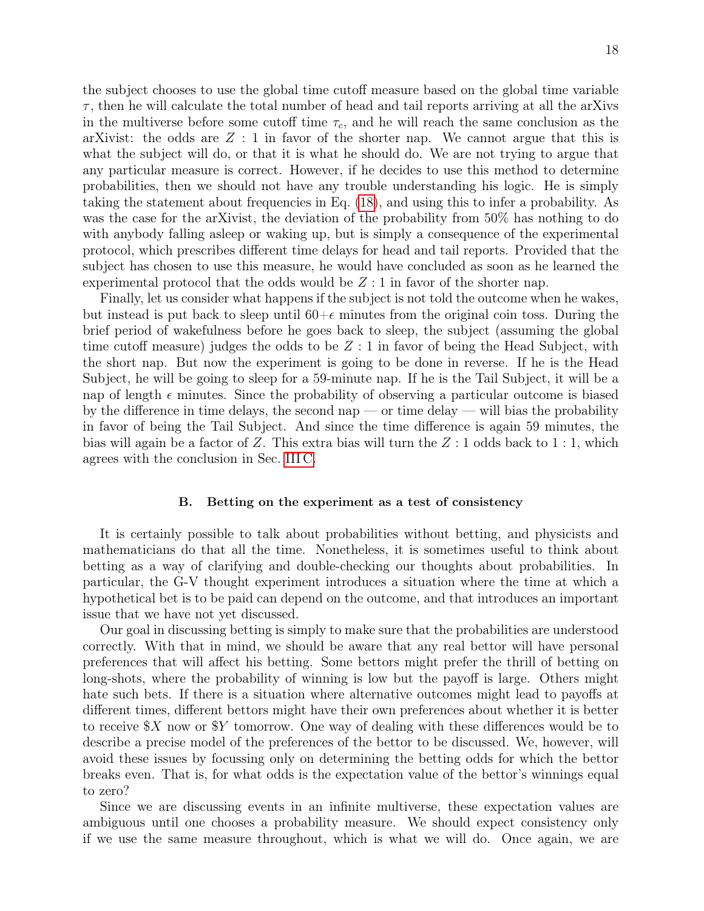the subject chooses to use the global time cutoff measure based on the global time variable  $\tau$ , then he will calculate the total number of head and tail reports arriving at all the arXivs in the multiverse before some cutoff time  $\tau_c$ , and he will reach the same conclusion as the arXivist: the odds are  $Z:1$  in favor of the shorter nap. We cannot argue that this is what the subject will do, or that it is what he should do. We are not trying to argue that any particular measure is correct. However, if he decides to use this method to determine probabilities, then we should not have any trouble understanding his logic. He is simply taking the statement about frequencies in Eq. [\(18\)](#page-15-0), and using this to infer a probability. As was the case for the arXivist, the deviation of the probability from 50% has nothing to do with anybody falling asleep or waking up, but is simply a consequence of the experimental protocol, which prescribes different time delays for head and tail reports. Provided that the subject has chosen to use this measure, he would have concluded as soon as he learned the experimental protocol that the odds would be  $Z:1$  in favor of the shorter nap.

Finally, let us consider what happens if the subject is not told the outcome when he wakes, but instead is put back to sleep until  $60+\epsilon$  minutes from the original coin toss. During the brief period of wakefulness before he goes back to sleep, the subject (assuming the global time cutoff measure) judges the odds to be  $Z:1$  in favor of being the Head Subject, with the short nap. But now the experiment is going to be done in reverse. If he is the Head Subject, he will be going to sleep for a 59-minute nap. If he is the Tail Subject, it will be a nap of length  $\epsilon$  minutes. Since the probability of observing a particular outcome is biased by the difference in time delays, the second nap — or time delay — will bias the probability in favor of being the Tail Subject. And since the time difference is again 59 minutes, the bias will again be a factor of Z. This extra bias will turn the  $Z:1$  odds back to 1:1, which agrees with the conclusion in Sec. [III C.](#page-10-1)

### B. Betting on the experiment as a test of consistency

It is certainly possible to talk about probabilities without betting, and physicists and mathematicians do that all the time. Nonetheless, it is sometimes useful to think about betting as a way of clarifying and double-checking our thoughts about probabilities. In particular, the G-V thought experiment introduces a situation where the time at which a hypothetical bet is to be paid can depend on the outcome, and that introduces an important issue that we have not yet discussed.

Our goal in discussing betting is simply to make sure that the probabilities are understood correctly. With that in mind, we should be aware that any real bettor will have personal preferences that will affect his betting. Some bettors might prefer the thrill of betting on long-shots, where the probability of winning is low but the payoff is large. Others might hate such bets. If there is a situation where alternative outcomes might lead to payoffs at different times, different bettors might have their own preferences about whether it is better to receive  $X$  now or  $Y$  tomorrow. One way of dealing with these differences would be to describe a precise model of the preferences of the bettor to be discussed. We, however, will avoid these issues by focussing only on determining the betting odds for which the bettor breaks even. That is, for what odds is the expectation value of the bettor's winnings equal to zero?

Since we are discussing events in an infinite multiverse, these expectation values are ambiguous until one chooses a probability measure. We should expect consistency only if we use the same measure throughout, which is what we will do. Once again, we are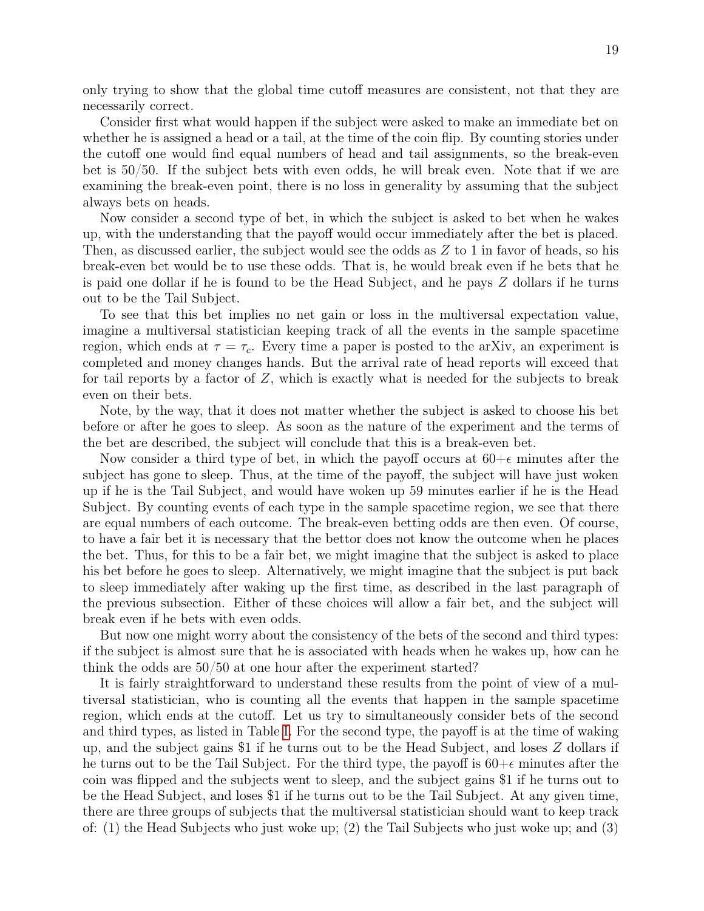only trying to show that the global time cutoff measures are consistent, not that they are necessarily correct.

Consider first what would happen if the subject were asked to make an immediate bet on whether he is assigned a head or a tail, at the time of the coin flip. By counting stories under the cutoff one would find equal numbers of head and tail assignments, so the break-even bet is 50/50. If the subject bets with even odds, he will break even. Note that if we are examining the break-even point, there is no loss in generality by assuming that the subject always bets on heads.

Now consider a second type of bet, in which the subject is asked to bet when he wakes up, with the understanding that the payoff would occur immediately after the bet is placed. Then, as discussed earlier, the subject would see the odds as  $Z$  to 1 in favor of heads, so his break-even bet would be to use these odds. That is, he would break even if he bets that he is paid one dollar if he is found to be the Head Subject, and he pays Z dollars if he turns out to be the Tail Subject.

To see that this bet implies no net gain or loss in the multiversal expectation value, imagine a multiversal statistician keeping track of all the events in the sample spacetime region, which ends at  $\tau = \tau_c$ . Every time a paper is posted to the arXiv, an experiment is completed and money changes hands. But the arrival rate of head reports will exceed that for tail reports by a factor of  $Z$ , which is exactly what is needed for the subjects to break even on their bets.

Note, by the way, that it does not matter whether the subject is asked to choose his bet before or after he goes to sleep. As soon as the nature of the experiment and the terms of the bet are described, the subject will conclude that this is a break-even bet.

Now consider a third type of bet, in which the payoff occurs at  $60+\epsilon$  minutes after the subject has gone to sleep. Thus, at the time of the payoff, the subject will have just woken up if he is the Tail Subject, and would have woken up 59 minutes earlier if he is the Head Subject. By counting events of each type in the sample spacetime region, we see that there are equal numbers of each outcome. The break-even betting odds are then even. Of course, to have a fair bet it is necessary that the bettor does not know the outcome when he places the bet. Thus, for this to be a fair bet, we might imagine that the subject is asked to place his bet before he goes to sleep. Alternatively, we might imagine that the subject is put back to sleep immediately after waking up the first time, as described in the last paragraph of the previous subsection. Either of these choices will allow a fair bet, and the subject will break even if he bets with even odds.

But now one might worry about the consistency of the bets of the second and third types: if the subject is almost sure that he is associated with heads when he wakes up, how can he think the odds are 50/50 at one hour after the experiment started?

It is fairly straightforward to understand these results from the point of view of a multiversal statistician, who is counting all the events that happen in the sample spacetime region, which ends at the cutoff. Let us try to simultaneously consider bets of the second and third types, as listed in Table [I.](#page-19-0) For the second type, the payoff is at the time of waking up, and the subject gains \$1 if he turns out to be the Head Subject, and loses Z dollars if he turns out to be the Tail Subject. For the third type, the payoff is  $60+\epsilon$  minutes after the coin was flipped and the subjects went to sleep, and the subject gains \$1 if he turns out to be the Head Subject, and loses \$1 if he turns out to be the Tail Subject. At any given time, there are three groups of subjects that the multiversal statistician should want to keep track of: (1) the Head Subjects who just woke up; (2) the Tail Subjects who just woke up; and (3)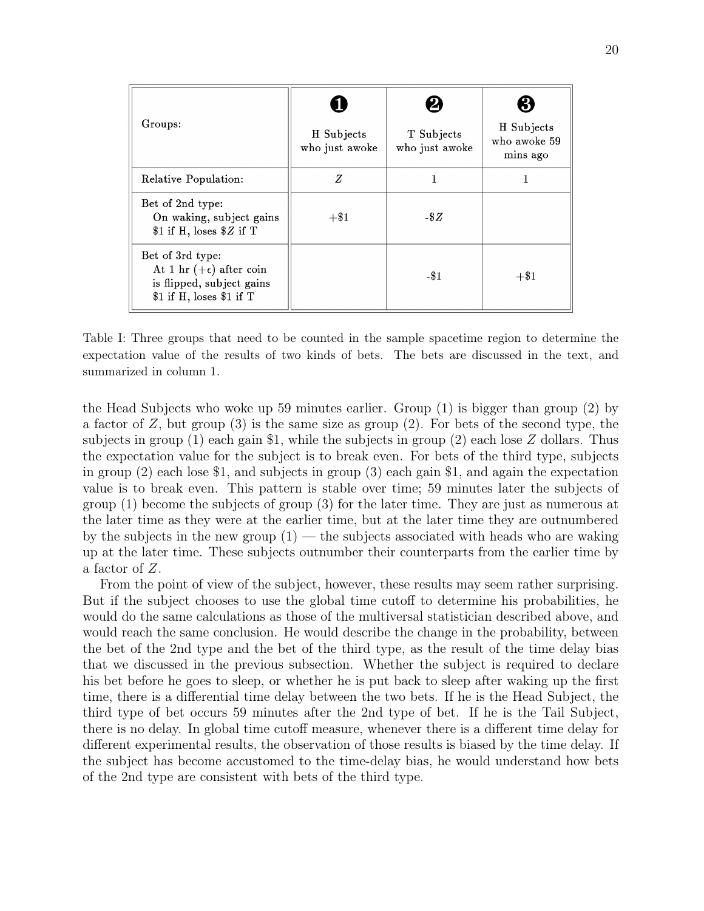| Groups:                                                                                                       | H Subjects<br>who just awoke | T Subjects<br>who just awoke | H Subjects<br>who awoke 59<br>mins ago |
|---------------------------------------------------------------------------------------------------------------|------------------------------|------------------------------|----------------------------------------|
| Relative Population:                                                                                          | Z                            |                              |                                        |
| Bet of 2nd type:<br>On waking, subject gains<br>\$1 if H, loses $Z$ if T                                      | $+ $1$                       | $-$ \$ $Z$                   |                                        |
| Bet of 3rd type:<br>At 1 hr $(+\epsilon)$ after coin<br>is flipped, subject gains<br>\$1 if H, loses \$1 if T |                              | $-$ \$1                      | $+\$1$                                 |

<span id="page-19-0"></span>Table I: Three groups that need to be counted in the sample spacetime region to determine the expectation value of the results of two kinds of bets. The bets are discussed in the text, and summarized in column 1.

the Head Subjects who woke up 59 minutes earlier. Group (1) is bigger than group (2) by a factor of  $Z$ , but group  $(3)$  is the same size as group  $(2)$ . For bets of the second type, the subjects in group (1) each gain \$1, while the subjects in group (2) each lose Z dollars. Thus the expectation value for the subject is to break even. For bets of the third type, subjects in group (2) each lose \$1, and subjects in group (3) each gain \$1, and again the expectation value is to break even. This pattern is stable over time; 59 minutes later the subjects of group (1) become the subjects of group (3) for the later time. They are just as numerous at the later time as they were at the earlier time, but at the later time they are outnumbered by the subjects in the new group  $(1)$  — the subjects associated with heads who are waking up at the later time. These subjects outnumber their counterparts from the earlier time by a factor of Z.

From the point of view of the subject, however, these results may seem rather surprising. But if the subject chooses to use the global time cutoff to determine his probabilities, he would do the same calculations as those of the multiversal statistician described above, and would reach the same conclusion. He would describe the change in the probability, between the bet of the 2nd type and the bet of the third type, as the result of the time delay bias that we discussed in the previous subsection. Whether the subject is required to declare his bet before he goes to sleep, or whether he is put back to sleep after waking up the first time, there is a differential time delay between the two bets. If he is the Head Subject, the third type of bet occurs 59 minutes after the 2nd type of bet. If he is the Tail Subject, there is no delay. In global time cutoff measure, whenever there is a different time delay for different experimental results, the observation of those results is biased by the time delay. If the subject has become accustomed to the time-delay bias, he would understand how bets of the 2nd type are consistent with bets of the third type.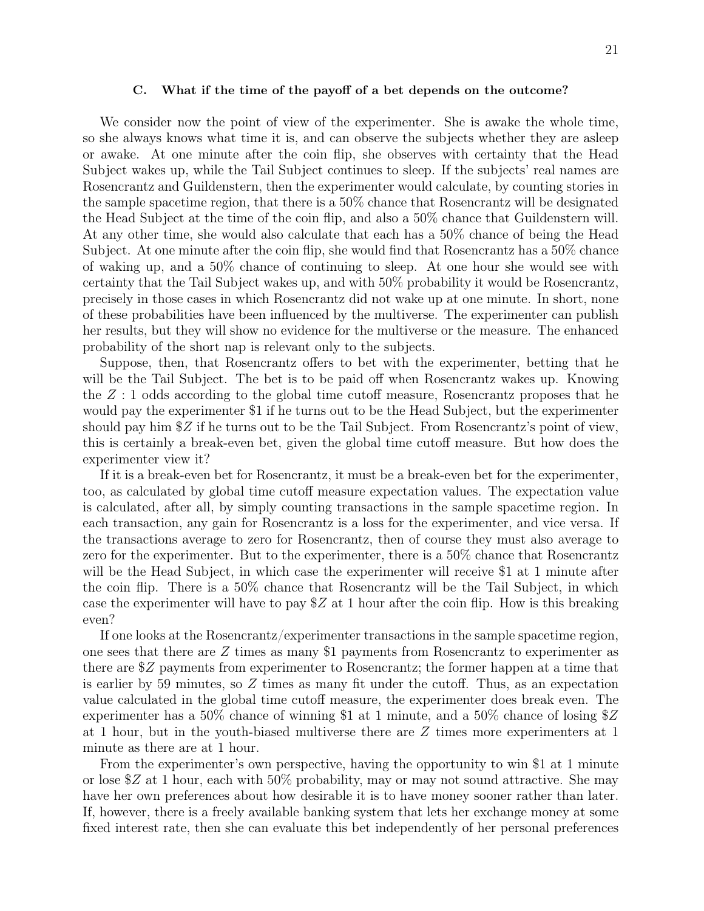#### C. What if the time of the payoff of a bet depends on the outcome?

We consider now the point of view of the experimenter. She is awake the whole time, so she always knows what time it is, and can observe the subjects whether they are asleep or awake. At one minute after the coin flip, she observes with certainty that the Head Subject wakes up, while the Tail Subject continues to sleep. If the subjects' real names are Rosencrantz and Guildenstern, then the experimenter would calculate, by counting stories in the sample spacetime region, that there is a 50% chance that Rosencrantz will be designated the Head Subject at the time of the coin flip, and also a 50% chance that Guildenstern will. At any other time, she would also calculate that each has a 50% chance of being the Head Subject. At one minute after the coin flip, she would find that Rosencrantz has a 50% chance of waking up, and a 50% chance of continuing to sleep. At one hour she would see with certainty that the Tail Subject wakes up, and with 50% probability it would be Rosencrantz, precisely in those cases in which Rosencrantz did not wake up at one minute. In short, none of these probabilities have been influenced by the multiverse. The experimenter can publish her results, but they will show no evidence for the multiverse or the measure. The enhanced probability of the short nap is relevant only to the subjects.

Suppose, then, that Rosencrantz offers to bet with the experimenter, betting that he will be the Tail Subject. The bet is to be paid off when Rosencrantz wakes up. Knowing the  $Z:1$  odds according to the global time cutoff measure, Rosencrantz proposes that he would pay the experimenter \$1 if he turns out to be the Head Subject, but the experimenter should pay him \$Z if he turns out to be the Tail Subject. From Rosencrantz's point of view, this is certainly a break-even bet, given the global time cutoff measure. But how does the experimenter view it?

If it is a break-even bet for Rosencrantz, it must be a break-even bet for the experimenter, too, as calculated by global time cutoff measure expectation values. The expectation value is calculated, after all, by simply counting transactions in the sample spacetime region. In each transaction, any gain for Rosencrantz is a loss for the experimenter, and vice versa. If the transactions average to zero for Rosencrantz, then of course they must also average to zero for the experimenter. But to the experimenter, there is a 50% chance that Rosencrantz will be the Head Subject, in which case the experimenter will receive \$1 at 1 minute after the coin flip. There is a 50% chance that Rosencrantz will be the Tail Subject, in which case the experimenter will have to pay  $Z$  at 1 hour after the coin flip. How is this breaking even?

If one looks at the Rosencrantz/experimenter transactions in the sample spacetime region, one sees that there are  $Z$  times as many \$1 payments from Rosencrantz to experimenter as there are \$Z payments from experimenter to Rosencrantz; the former happen at a time that is earlier by 59 minutes, so  $Z$  times as many fit under the cutoff. Thus, as an expectation value calculated in the global time cutoff measure, the experimenter does break even. The experimenter has a  $50\%$  chance of winning \$1 at 1 minute, and a  $50\%$  chance of losing \$Z at 1 hour, but in the youth-biased multiverse there are Z times more experimenters at 1 minute as there are at 1 hour.

From the experimenter's own perspective, having the opportunity to win \$1 at 1 minute or lose  $Z$  at 1 hour, each with 50% probability, may or may not sound attractive. She may have her own preferences about how desirable it is to have money sooner rather than later. If, however, there is a freely available banking system that lets her exchange money at some fixed interest rate, then she can evaluate this bet independently of her personal preferences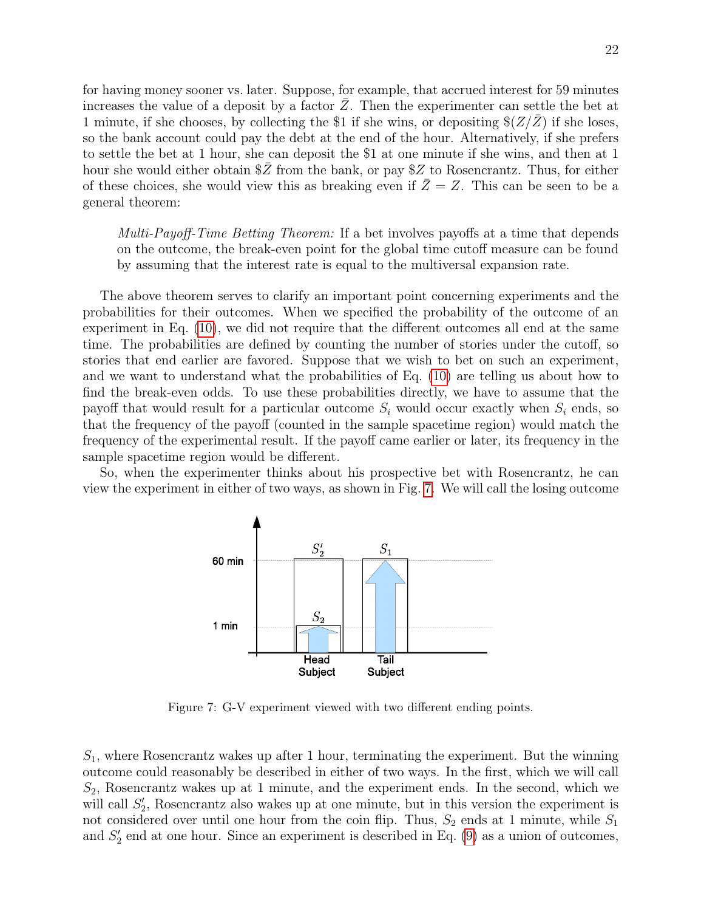for having money sooner vs. later. Suppose, for example, that accrued interest for 59 minutes increases the value of a deposit by a factor  $Z$ . Then the experimenter can settle the bet at 1 minute, if she chooses, by collecting the \$1 if she wins, or depositing  $\frac{8}{Z/Z}$  if she loses, so the bank account could pay the debt at the end of the hour. Alternatively, if she prefers to settle the bet at 1 hour, she can deposit the \$1 at one minute if she wins, and then at 1 hour she would either obtain  $\overline{\$Z\$$  from the bank, or pay  $Z\$ to Rosencrantz. Thus, for either of these choices, she would view this as breaking even if  $\overline{Z} = Z$ . This can be seen to be a general theorem:

Multi-Payoff-Time Betting Theorem: If a bet involves payoffs at a time that depends on the outcome, the break-even point for the global time cutoff measure can be found by assuming that the interest rate is equal to the multiversal expansion rate.

The above theorem serves to clarify an important point concerning experiments and the probabilities for their outcomes. When we specified the probability of the outcome of an experiment in Eq. [\(10\)](#page-8-2), we did not require that the different outcomes all end at the same time. The probabilities are defined by counting the number of stories under the cutoff, so stories that end earlier are favored. Suppose that we wish to bet on such an experiment, and we want to understand what the probabilities of Eq. [\(10\)](#page-8-2) are telling us about how to find the break-even odds. To use these probabilities directly, we have to assume that the payoff that would result for a particular outcome  $S_i$  would occur exactly when  $S_i$  ends, so that the frequency of the payoff (counted in the sample spacetime region) would match the frequency of the experimental result. If the payoff came earlier or later, its frequency in the sample spacetime region would be different.

So, when the experimenter thinks about his prospective bet with Rosencrantz, he can view the experiment in either of two ways, as shown in Fig. [7.](#page-21-0) We will call the losing outcome



<span id="page-21-0"></span>Figure 7: G-V experiment viewed with two different ending points.

 $S_1$ , where Rosencrantz wakes up after 1 hour, terminating the experiment. But the winning outcome could reasonably be described in either of two ways. In the first, which we will call  $S_2$ , Rosencrantz wakes up at 1 minute, and the experiment ends. In the second, which we will call  $S'_2$ , Rosencrantz also wakes up at one minute, but in this version the experiment is not considered over until one hour from the coin flip. Thus,  $S_2$  ends at 1 minute, while  $S_1$ and  $S'_{2}$  end at one hour. Since an experiment is described in Eq. [\(9\)](#page-8-3) as a union of outcomes,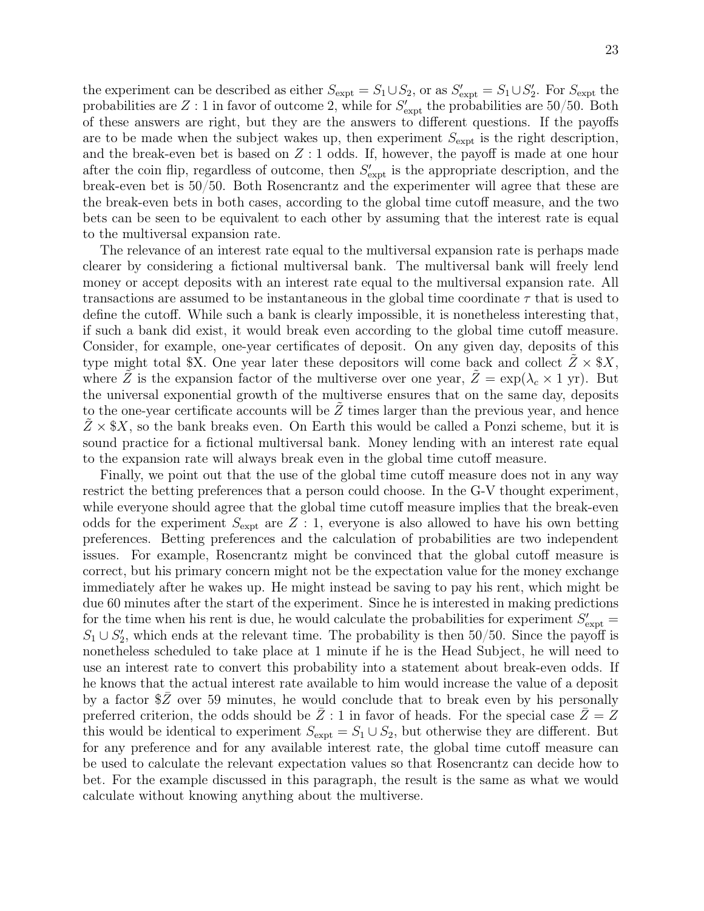the experiment can be described as either  $S_{\text{expt}} = S_1 \cup S_2$ , or as  $S'_{\text{expt}} = S_1 \cup S'_2$ . For  $S_{\text{expt}}$  the probabilities are  $Z:1$  in favor of outcome 2, while for  $S'_{\rm expt}$  the probabilities are 50/50. Both of these answers are right, but they are the answers to different questions. If the payoffs are to be made when the subject wakes up, then experiment  $S_{\text{expt}}$  is the right description, and the break-even bet is based on  $Z:1$  odds. If, however, the payoff is made at one hour after the coin flip, regardless of outcome, then  $S'_{\text{expt}}$  is the appropriate description, and the break-even bet is 50/50. Both Rosencrantz and the experimenter will agree that these are the break-even bets in both cases, according to the global time cutoff measure, and the two bets can be seen to be equivalent to each other by assuming that the interest rate is equal to the multiversal expansion rate.

The relevance of an interest rate equal to the multiversal expansion rate is perhaps made clearer by considering a fictional multiversal bank. The multiversal bank will freely lend money or accept deposits with an interest rate equal to the multiversal expansion rate. All transactions are assumed to be instantaneous in the global time coordinate  $\tau$  that is used to define the cutoff. While such a bank is clearly impossible, it is nonetheless interesting that, if such a bank did exist, it would break even according to the global time cutoff measure. Consider, for example, one-year certificates of deposit. On any given day, deposits of this type might total \$X. One year later these depositors will come back and collect  $Z \times$  \$X, where Z is the expansion factor of the multiverse over one year,  $Z = \exp(\lambda_c \times 1 \text{ yr})$ . But the universal exponential growth of the multiverse ensures that on the same day, deposits to the one-year certificate accounts will be  $Z$  times larger than the previous year, and hence  $Z \times $X$ , so the bank breaks even. On Earth this would be called a Ponzi scheme, but it is sound practice for a fictional multiversal bank. Money lending with an interest rate equal to the expansion rate will always break even in the global time cutoff measure.

Finally, we point out that the use of the global time cutoff measure does not in any way restrict the betting preferences that a person could choose. In the G-V thought experiment, while everyone should agree that the global time cutoff measure implies that the break-even odds for the experiment  $S_{\text{expt}}$  are Z : 1, everyone is also allowed to have his own betting preferences. Betting preferences and the calculation of probabilities are two independent issues. For example, Rosencrantz might be convinced that the global cutoff measure is correct, but his primary concern might not be the expectation value for the money exchange immediately after he wakes up. He might instead be saving to pay his rent, which might be due 60 minutes after the start of the experiment. Since he is interested in making predictions for the time when his rent is due, he would calculate the probabilities for experiment  $S'_{\text{expt}} =$  $S_1 \cup S_2'$ , which ends at the relevant time. The probability is then 50/50. Since the payoff is nonetheless scheduled to take place at 1 minute if he is the Head Subject, he will need to use an interest rate to convert this probability into a statement about break-even odds. If he knows that the actual interest rate available to him would increase the value of a deposit by a factor  $Z$  over 59 minutes, he would conclude that to break even by his personally preferred criterion, the odds should be  $\overline{Z}$  : 1 in favor of heads. For the special case  $\overline{Z}=Z$ this would be identical to experiment  $S_{\text{expt}} = S_1 \cup S_2$ , but otherwise they are different. But for any preference and for any available interest rate, the global time cutoff measure can be used to calculate the relevant expectation values so that Rosencrantz can decide how to bet. For the example discussed in this paragraph, the result is the same as what we would calculate without knowing anything about the multiverse.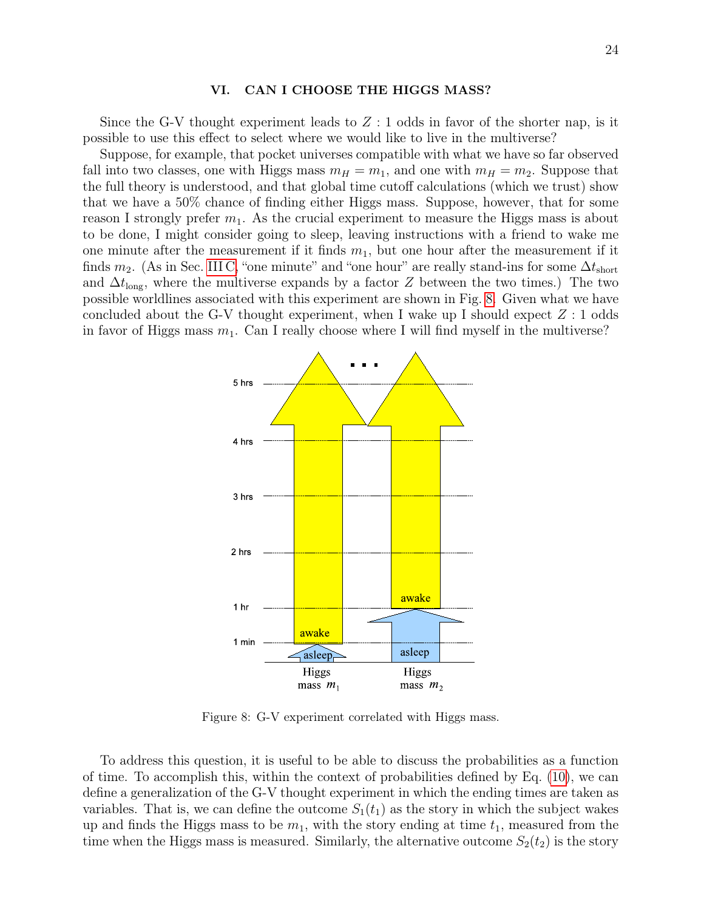# VI. CAN I CHOOSE THE HIGGS MASS?

Since the G-V thought experiment leads to  $Z:1$  odds in favor of the shorter nap, is it possible to use this effect to select where we would like to live in the multiverse?

Suppose, for example, that pocket universes compatible with what we have so far observed fall into two classes, one with Higgs mass  $m_H = m_1$ , and one with  $m_H = m_2$ . Suppose that the full theory is understood, and that global time cutoff calculations (which we trust) show that we have a 50% chance of finding either Higgs mass. Suppose, however, that for some reason I strongly prefer  $m_1$ . As the crucial experiment to measure the Higgs mass is about to be done, I might consider going to sleep, leaving instructions with a friend to wake me one minute after the measurement if it finds  $m_1$ , but one hour after the measurement if it finds  $m_2$ . (As in Sec. [III C,](#page-10-1) "one minute" and "one hour" are really stand-ins for some  $\Delta t_{\text{short}}$ and  $\Delta t_{\text{long}}$ , where the multiverse expands by a factor Z between the two times.) The two possible worldlines associated with this experiment are shown in Fig. [8.](#page-23-0) Given what we have concluded about the G-V thought experiment, when I wake up I should expect  $Z:1$  odds in favor of Higgs mass  $m_1$ . Can I really choose where I will find myself in the multiverse?



<span id="page-23-0"></span>Figure 8: G-V experiment correlated with Higgs mass.

To address this question, it is useful to be able to discuss the probabilities as a function of time. To accomplish this, within the context of probabilities defined by Eq. [\(10\)](#page-8-2), we can define a generalization of the G-V thought experiment in which the ending times are taken as variables. That is, we can define the outcome  $S_1(t_1)$  as the story in which the subject wakes up and finds the Higgs mass to be  $m_1$ , with the story ending at time  $t_1$ , measured from the time when the Higgs mass is measured. Similarly, the alternative outcome  $S_2(t_2)$  is the story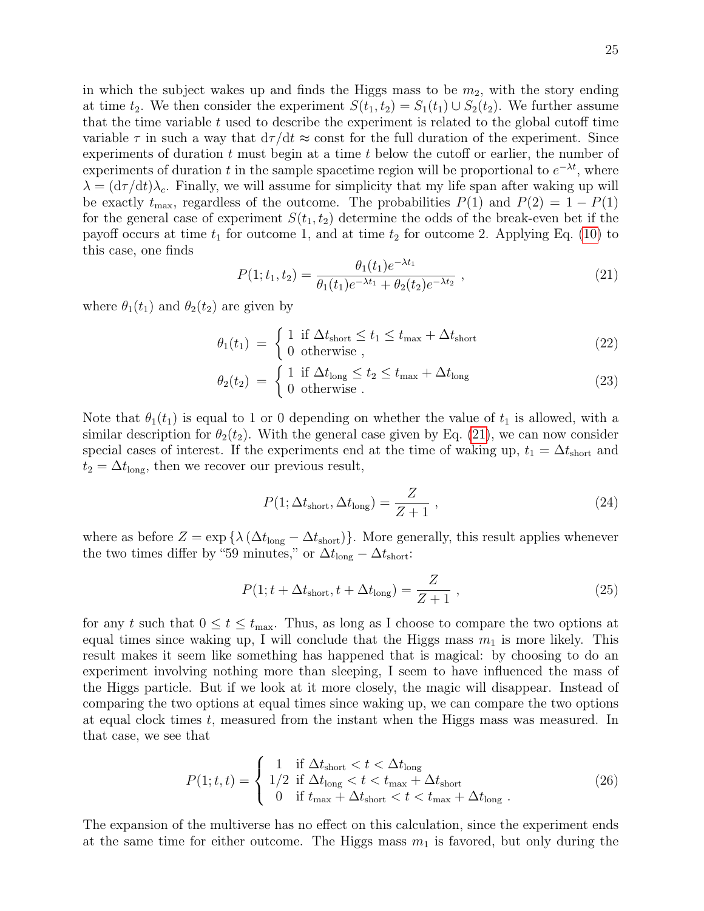in which the subject wakes up and finds the Higgs mass to be  $m_2$ , with the story ending at time  $t_2$ . We then consider the experiment  $S(t_1, t_2) = S_1(t_1) \cup S_2(t_2)$ . We further assume that the time variable  $t$  used to describe the experiment is related to the global cutoff time variable  $\tau$  in such a way that  $d\tau/dt \approx$  const for the full duration of the experiment. Since experiments of duration  $t$  must begin at a time  $t$  below the cutoff or earlier, the number of experiments of duration t in the sample spacetime region will be proportional to  $e^{-\lambda t}$ , where  $\lambda = (d\tau/dt)\lambda_c$ . Finally, we will assume for simplicity that my life span after waking up will be exactly  $t_{\text{max}}$ , regardless of the outcome. The probabilities  $P(1)$  and  $P(2) = 1 - P(1)$ for the general case of experiment  $S(t_1, t_2)$  determine the odds of the break-even bet if the payoff occurs at time  $t_1$  for outcome 1, and at time  $t_2$  for outcome 2. Applying Eq. [\(10\)](#page-8-2) to this case, one finds

<span id="page-24-0"></span>
$$
P(1; t_1, t_2) = \frac{\theta_1(t_1)e^{-\lambda t_1}}{\theta_1(t_1)e^{-\lambda t_1} + \theta_2(t_2)e^{-\lambda t_2}} ,
$$
\n(21)

where  $\theta_1(t_1)$  and  $\theta_2(t_2)$  are given by

$$
\theta_1(t_1) = \begin{cases} 1 & \text{if } \Delta t_{\text{short}} \le t_1 \le t_{\text{max}} + \Delta t_{\text{short}} \\ 0 & \text{otherwise} \end{cases} \tag{22}
$$

$$
\theta_2(t_2) = \begin{cases} 1 & \text{if } \Delta t_{\text{long}} \le t_2 \le t_{\text{max}} + \Delta t_{\text{long}} \\ 0 & \text{otherwise} \end{cases}
$$
 (23)

Note that  $\theta_1(t_1)$  is equal to 1 or 0 depending on whether the value of  $t_1$  is allowed, with a similar description for  $\theta_2(t_2)$ . With the general case given by Eq. [\(21\)](#page-24-0), we can now consider special cases of interest. If the experiments end at the time of waking up,  $t_1 = \Delta t_{\text{short}}$  and  $t_2 = \Delta t_{\text{long}}$ , then we recover our previous result,

<span id="page-24-2"></span>
$$
P(1; \Delta t_{\text{short}}, \Delta t_{\text{long}}) = \frac{Z}{Z+1} \,, \tag{24}
$$

where as before  $Z = \exp \{ \lambda (\Delta t_{\text{long}} - \Delta t_{\text{short}}) \}.$  More generally, this result applies whenever the two times differ by "59 minutes," or  $\Delta t_{\text{long}} - \Delta t_{\text{short}}$ :

<span id="page-24-3"></span>
$$
P(1; t + \Delta t_{\text{short}}, t + \Delta t_{\text{long}}) = \frac{Z}{Z+1} \,, \tag{25}
$$

for any t such that  $0 \le t \le t_{\text{max}}$ . Thus, as long as I choose to compare the two options at equal times since waking up, I will conclude that the Higgs mass  $m_1$  is more likely. This result makes it seem like something has happened that is magical: by choosing to do an experiment involving nothing more than sleeping, I seem to have influenced the mass of the Higgs particle. But if we look at it more closely, the magic will disappear. Instead of comparing the two options at equal times since waking up, we can compare the two options at equal clock times t, measured from the instant when the Higgs mass was measured. In that case, we see that

<span id="page-24-1"></span>
$$
P(1;t,t) = \begin{cases} 1 & \text{if } \Delta t_{\text{short}} < t < \Delta t_{\text{long}} \\ 1/2 & \text{if } \Delta t_{\text{long}} < t < t_{\text{max}} + \Delta t_{\text{short}} \\ 0 & \text{if } t_{\text{max}} + \Delta t_{\text{short}} < t < t_{\text{max}} + \Delta t_{\text{long}} \end{cases} \tag{26}
$$

The expansion of the multiverse has no effect on this calculation, since the experiment ends at the same time for either outcome. The Higgs mass  $m_1$  is favored, but only during the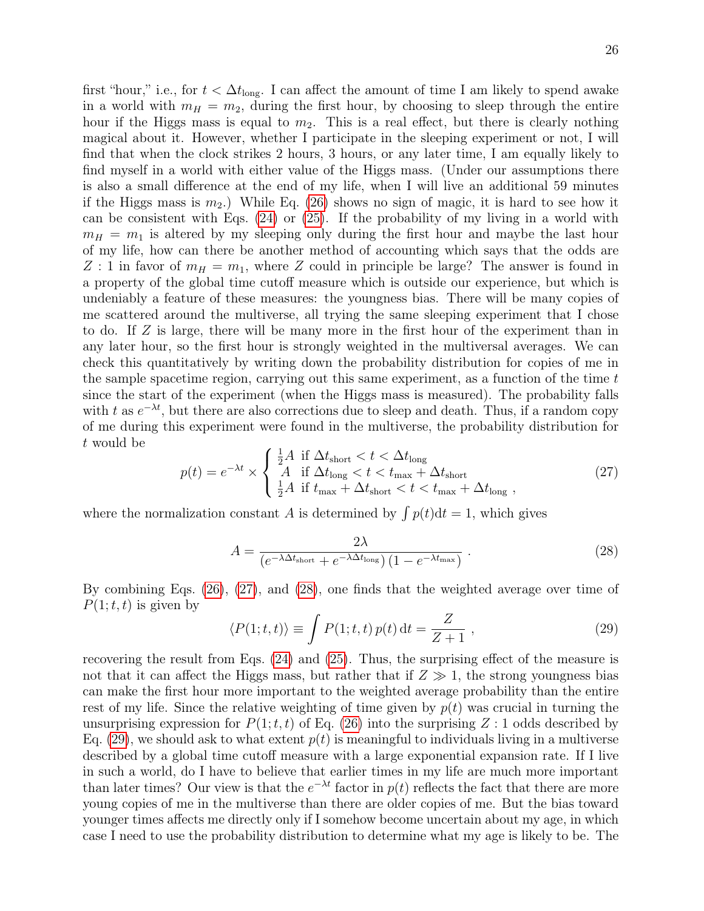first "hour," i.e., for  $t < \Delta t_{\text{long}}$ . I can affect the amount of time I am likely to spend awake in a world with  $m_H = m_2$ , during the first hour, by choosing to sleep through the entire hour if the Higgs mass is equal to  $m_2$ . This is a real effect, but there is clearly nothing magical about it. However, whether I participate in the sleeping experiment or not, I will find that when the clock strikes 2 hours, 3 hours, or any later time, I am equally likely to find myself in a world with either value of the Higgs mass. (Under our assumptions there is also a small difference at the end of my life, when I will live an additional 59 minutes if the Higgs mass is  $m_2$ .) While Eq. [\(26\)](#page-24-1) shows no sign of magic, it is hard to see how it can be consistent with Eqs. [\(24\)](#page-24-2) or [\(25\)](#page-24-3). If the probability of my living in a world with  $m_H = m_1$  is altered by my sleeping only during the first hour and maybe the last hour of my life, how can there be another method of accounting which says that the odds are Z : 1 in favor of  $m_H = m_1$ , where Z could in principle be large? The answer is found in a property of the global time cutoff measure which is outside our experience, but which is undeniably a feature of these measures: the youngness bias. There will be many copies of me scattered around the multiverse, all trying the same sleeping experiment that I chose to do. If Z is large, there will be many more in the first hour of the experiment than in any later hour, so the first hour is strongly weighted in the multiversal averages. We can check this quantitatively by writing down the probability distribution for copies of me in the sample spacetime region, carrying out this same experiment, as a function of the time  $t$ since the start of the experiment (when the Higgs mass is measured). The probability falls with t as  $e^{-\lambda t}$ , but there are also corrections due to sleep and death. Thus, if a random copy of me during this experiment were found in the multiverse, the probability distribution for t would be

<span id="page-25-0"></span>
$$
p(t) = e^{-\lambda t} \times \begin{cases} \frac{1}{2}A & \text{if } \Delta t_{\text{short}} < t < \Delta t_{\text{long}} \\ A & \text{if } \Delta t_{\text{long}} < t < t_{\text{max}} + \Delta t_{\text{short}} \\ \frac{1}{2}A & \text{if } t_{\text{max}} + \Delta t_{\text{short}} < t < t_{\text{max}} + \Delta t_{\text{long}} \end{cases}
$$
 (27)

where the normalization constant A is determined by  $\int p(t)dt = 1$ , which gives

<span id="page-25-1"></span>
$$
A = \frac{2\lambda}{\left(e^{-\lambda\Delta t_{\text{short}}} + e^{-\lambda\Delta t_{\text{long}}}\right)\left(1 - e^{-\lambda t_{\text{max}}}\right)}\tag{28}
$$

By combining Eqs. [\(26\)](#page-24-1), [\(27\)](#page-25-0), and [\(28\)](#page-25-1), one finds that the weighted average over time of  $P(1;t,t)$  is given by

<span id="page-25-2"></span>
$$
\langle P(1;t,t)\rangle \equiv \int P(1;t,t) p(t) dt = \frac{Z}{Z+1},\qquad(29)
$$

recovering the result from Eqs. [\(24\)](#page-24-2) and [\(25\)](#page-24-3). Thus, the surprising effect of the measure is not that it can affect the Higgs mass, but rather that if  $Z \gg 1$ , the strong youngness bias can make the first hour more important to the weighted average probability than the entire rest of my life. Since the relative weighting of time given by  $p(t)$  was crucial in turning the unsurprising expression for  $P(1; t, t)$  of Eq. [\(26\)](#page-24-1) into the surprising Z : 1 odds described by Eq. [\(29\)](#page-25-2), we should ask to what extent  $p(t)$  is meaningful to individuals living in a multiverse described by a global time cutoff measure with a large exponential expansion rate. If I live in such a world, do I have to believe that earlier times in my life are much more important than later times? Our view is that the  $e^{-\lambda t}$  factor in  $p(t)$  reflects the fact that there are more young copies of me in the multiverse than there are older copies of me. But the bias toward younger times affects me directly only if I somehow become uncertain about my age, in which case I need to use the probability distribution to determine what my age is likely to be. The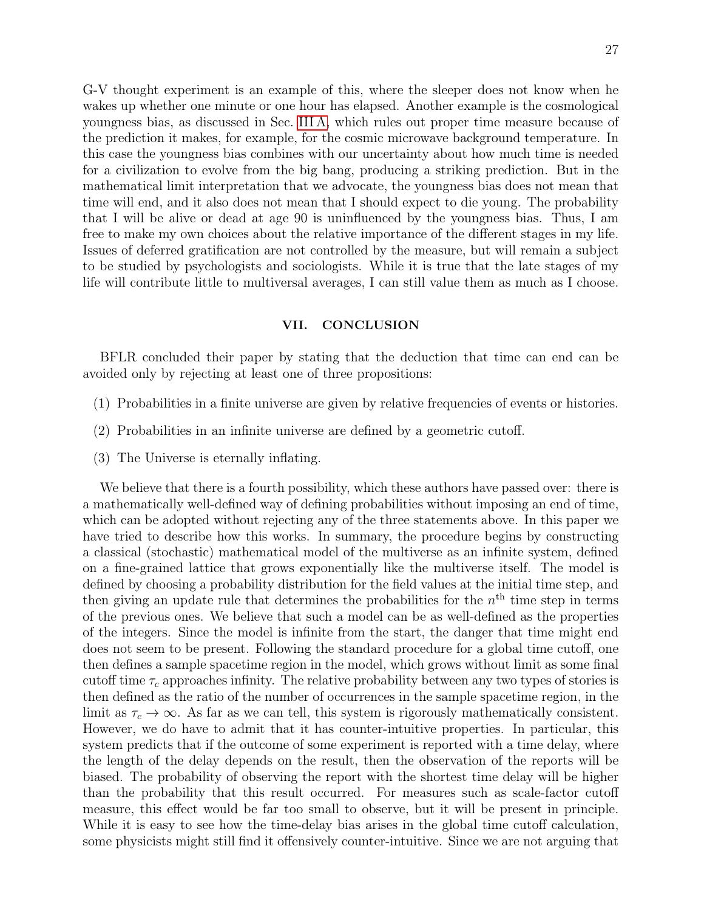G-V thought experiment is an example of this, where the sleeper does not know when he wakes up whether one minute or one hour has elapsed. Another example is the cosmological youngness bias, as discussed in Sec. [III A,](#page-8-1) which rules out proper time measure because of the prediction it makes, for example, for the cosmic microwave background temperature. In this case the youngness bias combines with our uncertainty about how much time is needed for a civilization to evolve from the big bang, producing a striking prediction. But in the mathematical limit interpretation that we advocate, the youngness bias does not mean that time will end, and it also does not mean that I should expect to die young. The probability that I will be alive or dead at age 90 is uninfluenced by the youngness bias. Thus, I am free to make my own choices about the relative importance of the different stages in my life. Issues of deferred gratification are not controlled by the measure, but will remain a subject to be studied by psychologists and sociologists. While it is true that the late stages of my life will contribute little to multiversal averages, I can still value them as much as I choose.

# VII. CONCLUSION

BFLR concluded their paper by stating that the deduction that time can end can be avoided only by rejecting at least one of three propositions:

- (1) Probabilities in a finite universe are given by relative frequencies of events or histories.
- (2) Probabilities in an infinite universe are defined by a geometric cutoff.
- (3) The Universe is eternally inflating.

We believe that there is a fourth possibility, which these authors have passed over: there is a mathematically well-defined way of defining probabilities without imposing an end of time, which can be adopted without rejecting any of the three statements above. In this paper we have tried to describe how this works. In summary, the procedure begins by constructing a classical (stochastic) mathematical model of the multiverse as an infinite system, defined on a fine-grained lattice that grows exponentially like the multiverse itself. The model is defined by choosing a probability distribution for the field values at the initial time step, and then giving an update rule that determines the probabilities for the  $n<sup>th</sup>$  time step in terms of the previous ones. We believe that such a model can be as well-defined as the properties of the integers. Since the model is infinite from the start, the danger that time might end does not seem to be present. Following the standard procedure for a global time cutoff, one then defines a sample spacetime region in the model, which grows without limit as some final cutoff time  $\tau_c$  approaches infinity. The relative probability between any two types of stories is then defined as the ratio of the number of occurrences in the sample spacetime region, in the limit as  $\tau_c \to \infty$ . As far as we can tell, this system is rigorously mathematically consistent. However, we do have to admit that it has counter-intuitive properties. In particular, this system predicts that if the outcome of some experiment is reported with a time delay, where the length of the delay depends on the result, then the observation of the reports will be biased. The probability of observing the report with the shortest time delay will be higher than the probability that this result occurred. For measures such as scale-factor cutoff measure, this effect would be far too small to observe, but it will be present in principle. While it is easy to see how the time-delay bias arises in the global time cutoff calculation, some physicists might still find it offensively counter-intuitive. Since we are not arguing that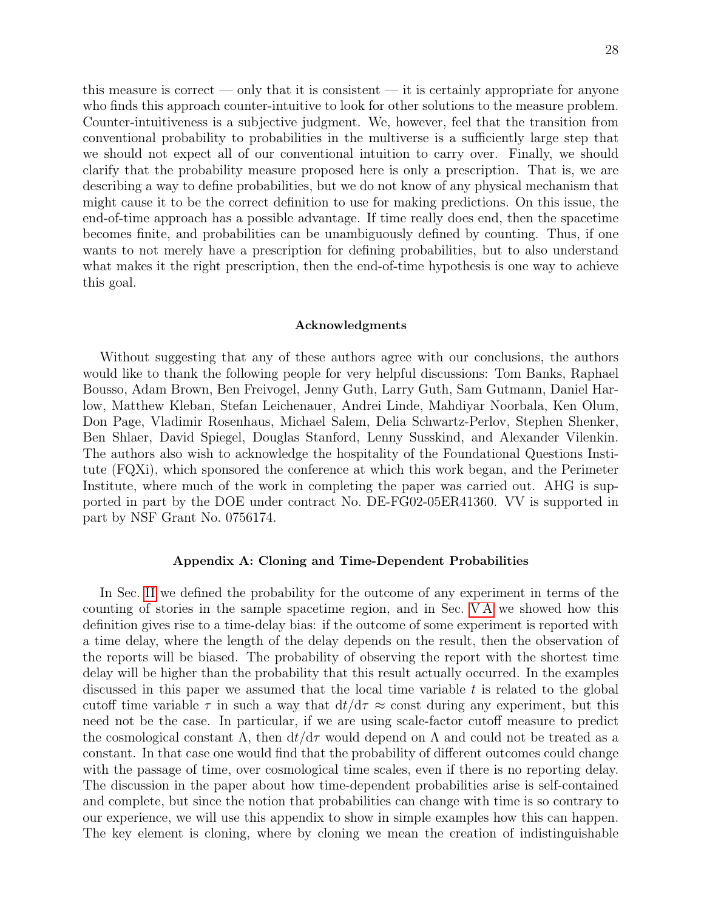this measure is correct — only that it is consistent — it is certainly appropriate for anyone who finds this approach counter-intuitive to look for other solutions to the measure problem. Counter-intuitiveness is a subjective judgment. We, however, feel that the transition from conventional probability to probabilities in the multiverse is a sufficiently large step that we should not expect all of our conventional intuition to carry over. Finally, we should clarify that the probability measure proposed here is only a prescription. That is, we are describing a way to define probabilities, but we do not know of any physical mechanism that might cause it to be the correct definition to use for making predictions. On this issue, the end-of-time approach has a possible advantage. If time really does end, then the spacetime becomes finite, and probabilities can be unambiguously defined by counting. Thus, if one wants to not merely have a prescription for defining probabilities, but to also understand what makes it the right prescription, then the end-of-time hypothesis is one way to achieve this goal.

#### Acknowledgments

Without suggesting that any of these authors agree with our conclusions, the authors would like to thank the following people for very helpful discussions: Tom Banks, Raphael Bousso, Adam Brown, Ben Freivogel, Jenny Guth, Larry Guth, Sam Gutmann, Daniel Harlow, Matthew Kleban, Stefan Leichenauer, Andrei Linde, Mahdiyar Noorbala, Ken Olum, Don Page, Vladimir Rosenhaus, Michael Salem, Delia Schwartz-Perlov, Stephen Shenker, Ben Shlaer, David Spiegel, Douglas Stanford, Lenny Susskind, and Alexander Vilenkin. The authors also wish to acknowledge the hospitality of the Foundational Questions Institute (FQXi), which sponsored the conference at which this work began, and the Perimeter Institute, where much of the work in completing the paper was carried out. AHG is supported in part by the DOE under contract No. DE-FG02-05ER41360. VV is supported in part by NSF Grant No. 0756174.

### Appendix A: Cloning and Time-Dependent Probabilities

In Sec. [II](#page-2-0) we defined the probability for the outcome of any experiment in terms of the counting of stories in the sample spacetime region, and in Sec. [V A](#page-14-0) we showed how this definition gives rise to a time-delay bias: if the outcome of some experiment is reported with a time delay, where the length of the delay depends on the result, then the observation of the reports will be biased. The probability of observing the report with the shortest time delay will be higher than the probability that this result actually occurred. In the examples discussed in this paper we assumed that the local time variable  $t$  is related to the global cutoff time variable  $\tau$  in such a way that  $dt/d\tau \approx$  const during any experiment, but this need not be the case. In particular, if we are using scale-factor cutoff measure to predict the cosmological constant  $\Lambda$ , then  $dt/d\tau$  would depend on  $\Lambda$  and could not be treated as a constant. In that case one would find that the probability of different outcomes could change with the passage of time, over cosmological time scales, even if there is no reporting delay. The discussion in the paper about how time-dependent probabilities arise is self-contained and complete, but since the notion that probabilities can change with time is so contrary to our experience, we will use this appendix to show in simple examples how this can happen. The key element is cloning, where by cloning we mean the creation of indistinguishable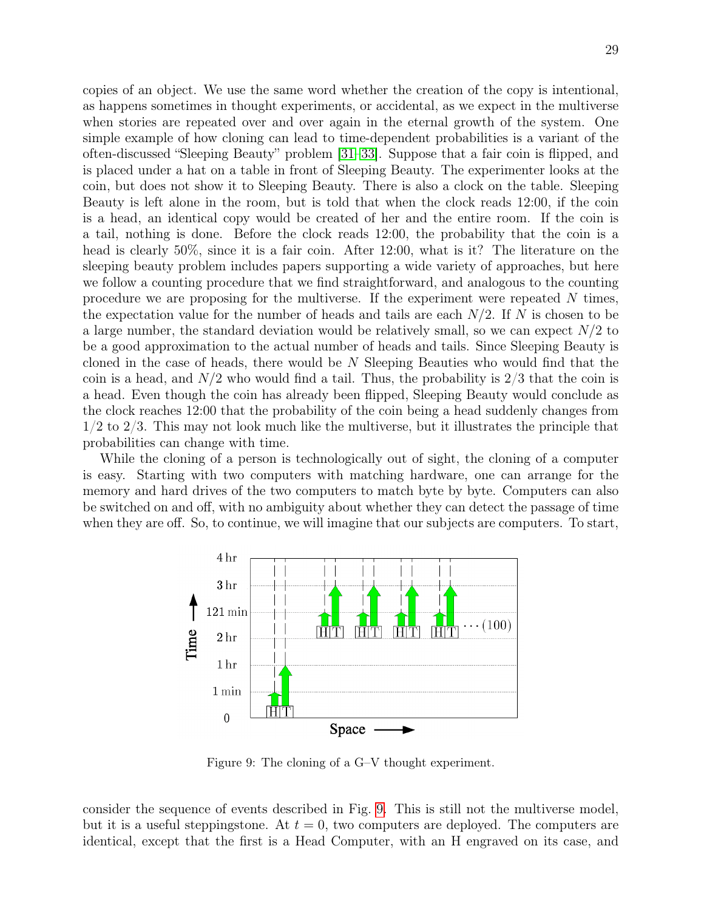copies of an object. We use the same word whether the creation of the copy is intentional, as happens sometimes in thought experiments, or accidental, as we expect in the multiverse when stories are repeated over and over again in the eternal growth of the system. One simple example of how cloning can lead to time-dependent probabilities is a variant of the often-discussed "Sleeping Beauty" problem [\[31](#page-31-10)[–33\]](#page-31-11). Suppose that a fair coin is flipped, and is placed under a hat on a table in front of Sleeping Beauty. The experimenter looks at the coin, but does not show it to Sleeping Beauty. There is also a clock on the table. Sleeping Beauty is left alone in the room, but is told that when the clock reads 12:00, if the coin is a head, an identical copy would be created of her and the entire room. If the coin is a tail, nothing is done. Before the clock reads 12:00, the probability that the coin is a head is clearly 50%, since it is a fair coin. After 12:00, what is it? The literature on the sleeping beauty problem includes papers supporting a wide variety of approaches, but here we follow a counting procedure that we find straightforward, and analogous to the counting procedure we are proposing for the multiverse. If the experiment were repeated N times, the expectation value for the number of heads and tails are each  $N/2$ . If N is chosen to be a large number, the standard deviation would be relatively small, so we can expect  $N/2$  to be a good approximation to the actual number of heads and tails. Since Sleeping Beauty is cloned in the case of heads, there would be  $N$  Sleeping Beauties who would find that the coin is a head, and  $N/2$  who would find a tail. Thus, the probability is  $2/3$  that the coin is a head. Even though the coin has already been flipped, Sleeping Beauty would conclude as the clock reaches 12:00 that the probability of the coin being a head suddenly changes from 1/2 to 2/3. This may not look much like the multiverse, but it illustrates the principle that probabilities can change with time.

While the cloning of a person is technologically out of sight, the cloning of a computer is easy. Starting with two computers with matching hardware, one can arrange for the memory and hard drives of the two computers to match byte by byte. Computers can also be switched on and off, with no ambiguity about whether they can detect the passage of time when they are off. So, to continue, we will imagine that our subjects are computers. To start,



<span id="page-28-0"></span>Figure 9: The cloning of a G–V thought experiment.

consider the sequence of events described in Fig. [9.](#page-28-0) This is still not the multiverse model, but it is a useful steppingstone. At  $t = 0$ , two computers are deployed. The computers are identical, except that the first is a Head Computer, with an H engraved on its case, and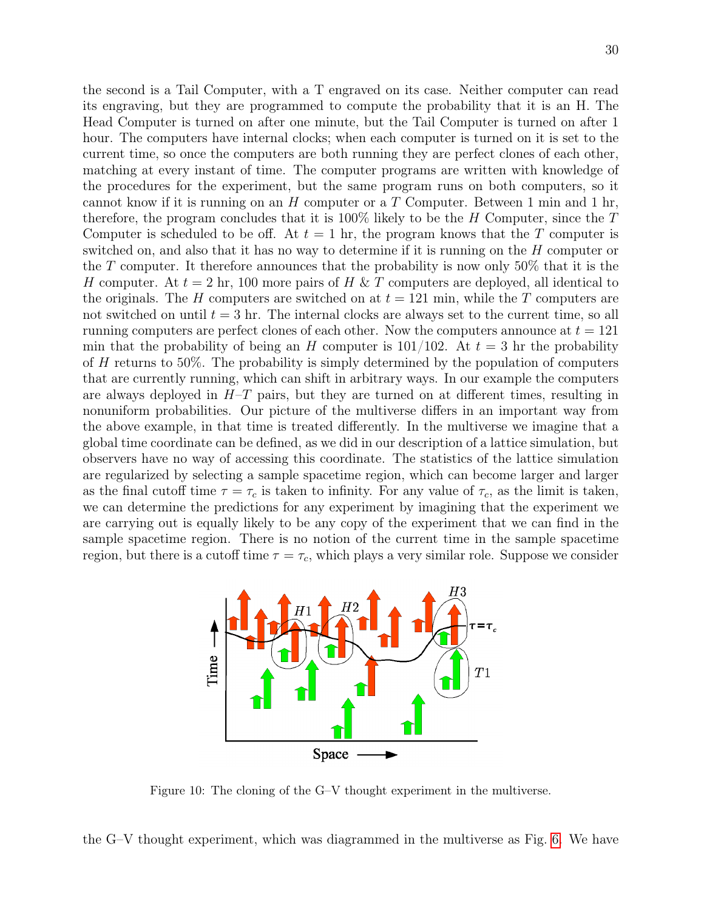the second is a Tail Computer, with a T engraved on its case. Neither computer can read its engraving, but they are programmed to compute the probability that it is an H. The Head Computer is turned on after one minute, but the Tail Computer is turned on after 1 hour. The computers have internal clocks; when each computer is turned on it is set to the current time, so once the computers are both running they are perfect clones of each other, matching at every instant of time. The computer programs are written with knowledge of the procedures for the experiment, but the same program runs on both computers, so it cannot know if it is running on an  $H$  computer or a  $T$  Computer. Between 1 min and 1 hr, therefore, the program concludes that it is  $100\%$  likely to be the H Computer, since the T Computer is scheduled to be off. At  $t = 1$  hr, the program knows that the T computer is switched on, and also that it has no way to determine if it is running on the H computer or the T computer. It therefore announces that the probability is now only 50% that it is the H computer. At  $t = 2 \text{ hr}$ , 100 more pairs of H & T computers are deployed, all identical to the originals. The H computers are switched on at  $t = 121$  min, while the T computers are not switched on until  $t = 3$  hr. The internal clocks are always set to the current time, so all running computers are perfect clones of each other. Now the computers announce at  $t = 121$ min that the probability of being an H computer is  $101/102$ . At  $t = 3$  hr the probability of H returns to 50%. The probability is simply determined by the population of computers that are currently running, which can shift in arbitrary ways. In our example the computers are always deployed in  $H-T$  pairs, but they are turned on at different times, resulting in nonuniform probabilities. Our picture of the multiverse differs in an important way from the above example, in that time is treated differently. In the multiverse we imagine that a global time coordinate can be defined, as we did in our description of a lattice simulation, but observers have no way of accessing this coordinate. The statistics of the lattice simulation are regularized by selecting a sample spacetime region, which can become larger and larger as the final cutoff time  $\tau = \tau_c$  is taken to infinity. For any value of  $\tau_c$ , as the limit is taken, we can determine the predictions for any experiment by imagining that the experiment we are carrying out is equally likely to be any copy of the experiment that we can find in the sample spacetime region. There is no notion of the current time in the sample spacetime region, but there is a cutoff time  $\tau = \tau_c$ , which plays a very similar role. Suppose we consider



<span id="page-29-0"></span>Figure 10: The cloning of the G–V thought experiment in the multiverse.

the G–V thought experiment, which was diagrammed in the multiverse as Fig. [6.](#page-11-1) We have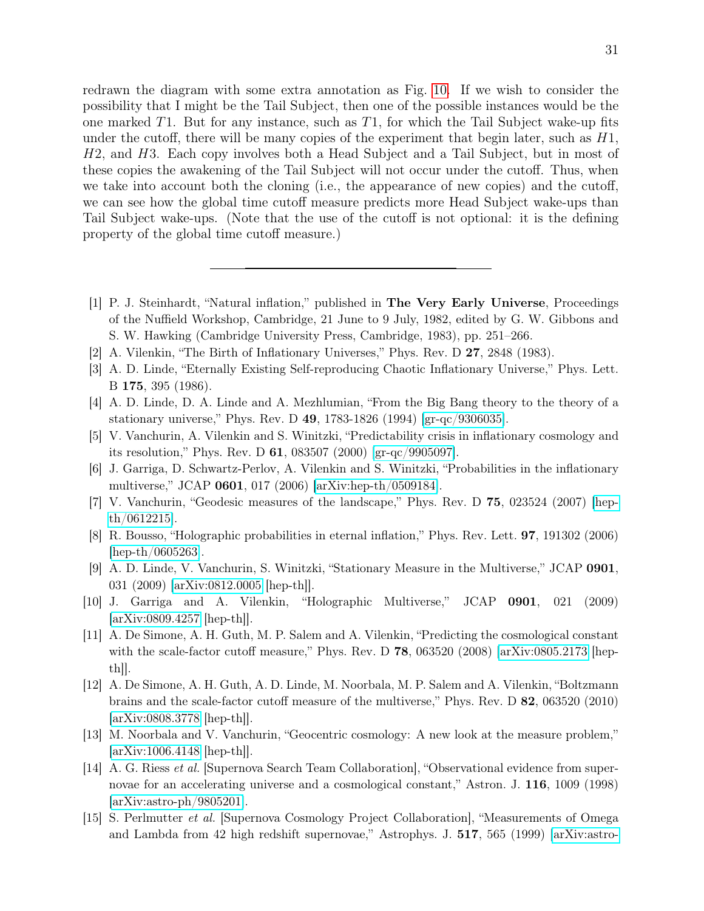redrawn the diagram with some extra annotation as Fig. [10.](#page-29-0) If we wish to consider the possibility that I might be the Tail Subject, then one of the possible instances would be the one marked  $T1$ . But for any instance, such as  $T1$ , for which the Tail Subject wake-up fits under the cutoff, there will be many copies of the experiment that begin later, such as  $H_1$ , H2, and H3. Each copy involves both a Head Subject and a Tail Subject, but in most of these copies the awakening of the Tail Subject will not occur under the cutoff. Thus, when we take into account both the cloning (i.e., the appearance of new copies) and the cutoff, we can see how the global time cutoff measure predicts more Head Subject wake-ups than Tail Subject wake-ups. (Note that the use of the cutoff is not optional: it is the defining property of the global time cutoff measure.)

- <span id="page-30-0"></span>[1] P. J. Steinhardt, "Natural inflation," published in The Very Early Universe, Proceedings of the Nuffield Workshop, Cambridge, 21 June to 9 July, 1982, edited by G. W. Gibbons and S. W. Hawking (Cambridge University Press, Cambridge, 1983), pp. 251–266.
- [2] A. Vilenkin, "The Birth of Inflationary Universes," Phys. Rev. D 27, 2848 (1983).
- [3] A. D. Linde, "Eternally Existing Self-reproducing Chaotic Inflationary Universe," Phys. Lett. B 175, 395 (1986).
- [4] A. D. Linde, D. A. Linde and A. Mezhlumian, "From the Big Bang theory to the theory of a stationary universe," Phys. Rev. D 49, 1783-1826 (1994) [\[gr-qc/9306035\]](http://arxiv.org/abs/gr-qc/9306035).
- [5] V. Vanchurin, A. Vilenkin and S. Winitzki, "Predictability crisis in inflationary cosmology and its resolution," Phys. Rev. D 61, 083507 (2000) [\[gr-qc/9905097\]](http://arxiv.org/abs/gr-qc/9905097).
- <span id="page-30-5"></span>[6] J. Garriga, D. Schwartz-Perlov, A. Vilenkin and S. Winitzki, "Probabilities in the inflationary multiverse," JCAP 0601, 017 (2006) [\[arXiv:hep-th/0509184\]](http://arxiv.org/abs/hep-th/0509184).
- [7] V. Vanchurin, "Geodesic measures of the landscape," Phys. Rev. D 75, 023524 (2007) [\[hep](http://arxiv.org/abs/hep-th/0612215)[th/0612215\]](http://arxiv.org/abs/hep-th/0612215).
- [8] R. Bousso, "Holographic probabilities in eternal inflation," Phys. Rev. Lett. 97, 191302 (2006)  $[hep-th/0605263]$ .
- [9] A. D. Linde, V. Vanchurin, S. Winitzki, "Stationary Measure in the Multiverse," JCAP 0901, 031 (2009) [\[arXiv:0812.0005](http://arxiv.org/abs/0812.0005) [hep-th]].
- [10] J. Garriga and A. Vilenkin, "Holographic Multiverse," JCAP 0901, 021 (2009) [\[arXiv:0809.4257](http://arxiv.org/abs/0809.4257) [hep-th]].
- [11] A. De Simone, A. H. Guth, M. P. Salem and A. Vilenkin, "Predicting the cosmological constant with the scale-factor cutoff measure," Phys. Rev. D 78, 063520 (2008) [\[arXiv:0805.2173](http://arxiv.org/abs/0805.2173) [hepth]].
- <span id="page-30-4"></span>[12] A. De Simone, A. H. Guth, A. D. Linde, M. Noorbala, M. P. Salem and A. Vilenkin, "Boltzmann brains and the scale-factor cutoff measure of the multiverse," Phys. Rev. D 82, 063520 (2010) [\[arXiv:0808.3778](http://arxiv.org/abs/0808.3778) [hep-th]].
- <span id="page-30-1"></span>[13] M. Noorbala and V. Vanchurin, "Geocentric cosmology: A new look at the measure problem,"  $\arXiv:1006.4148$   $\vert \text{hep-th} \vert \vert$ .
- <span id="page-30-2"></span>[14] A. G. Riess et al. [Supernova Search Team Collaboration], "Observational evidence from supernovae for an accelerating universe and a cosmological constant," Astron. J. 116, 1009 (1998) [\[arXiv:astro-ph/9805201\]](http://arxiv.org/abs/astro-ph/9805201).
- <span id="page-30-3"></span>[15] S. Perlmutter et al. [Supernova Cosmology Project Collaboration], "Measurements of Omega and Lambda from 42 high redshift supernovae," Astrophys. J. 517, 565 (1999) [\[arXiv:astro-](http://arxiv.org/abs/astro-ph/9812133)